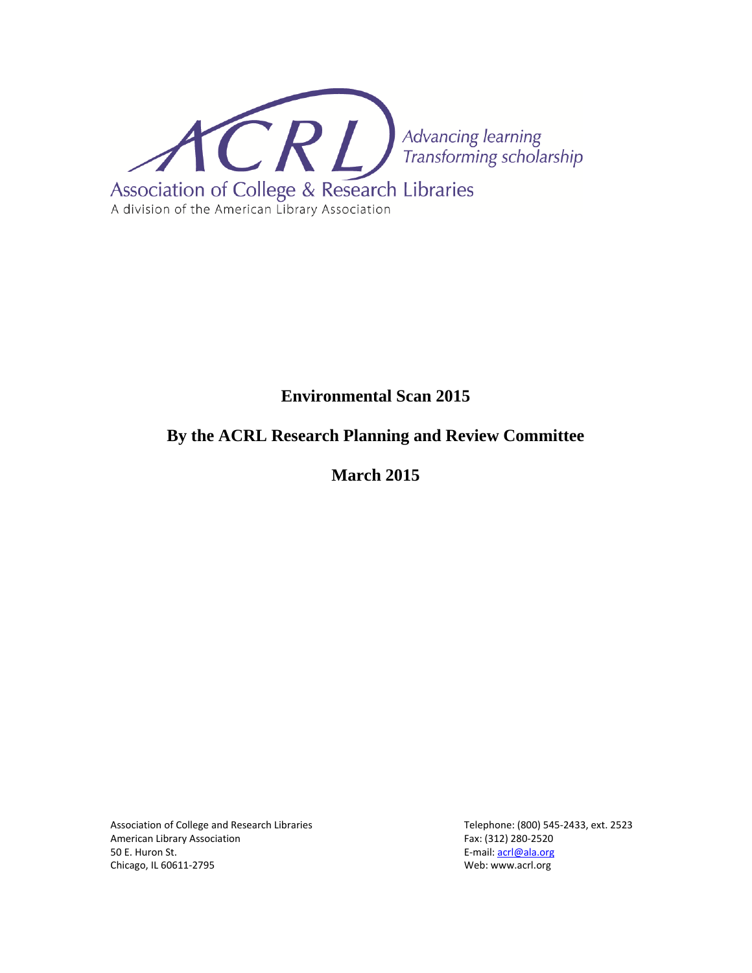

# **Environmental Scan 2015**

# **By the ACRL Research Planning and Review Committee**

**March 2015** 

Association of College and Research Libraries Telephone: (800) 545-2433, ext. 2523 American Library Association Fax: (312) 280-2520 50 E. Huron St. E‐mail: acrl@ala.org E‐mail: acrl@ala.org E‐mail: acrl@ala.org Chicago, IL 60611‐2795 Web: www.acrl.org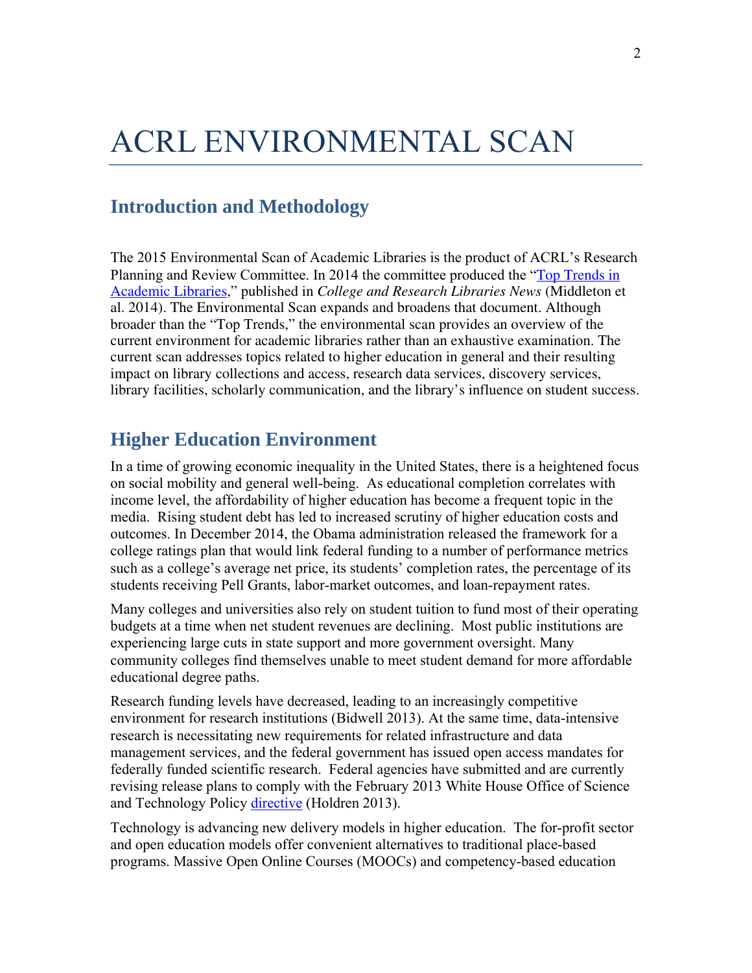# ACRL ENVIRONMENTAL SCAN

# **Introduction and Methodology**

The 2015 Environmental Scan of Academic Libraries is the product of ACRL's Research Planning and Review Committee. In 2014 the committee produced the "Top Trends in Academic Libraries," published in *College and Research Libraries News* (Middleton et al. 2014). The Environmental Scan expands and broadens that document. Although broader than the "Top Trends," the environmental scan provides an overview of the current environment for academic libraries rather than an exhaustive examination. The current scan addresses topics related to higher education in general and their resulting impact on library collections and access, research data services, discovery services, library facilities, scholarly communication, and the library's influence on student success.

# **Higher Education Environment**

In a time of growing economic inequality in the United States, there is a heightened focus on social mobility and general well-being. As educational completion correlates with income level, the affordability of higher education has become a frequent topic in the media. Rising student debt has led to increased scrutiny of higher education costs and outcomes. In December 2014, the Obama administration released the framework for a college ratings plan that would link federal funding to a number of performance metrics such as a college's average net price, its students' completion rates, the percentage of its students receiving Pell Grants, labor-market outcomes, and loan-repayment rates.

Many colleges and universities also rely on student tuition to fund most of their operating budgets at a time when net student revenues are declining. Most public institutions are experiencing large cuts in state support and more government oversight. Many community colleges find themselves unable to meet student demand for more affordable educational degree paths.

Research funding levels have decreased, leading to an increasingly competitive environment for research institutions (Bidwell 2013). At the same time, data-intensive research is necessitating new requirements for related infrastructure and data management services, and the federal government has issued open access mandates for federally funded scientific research. Federal agencies have submitted and are currently revising release plans to comply with the February 2013 White House Office of Science and Technology Policy directive (Holdren 2013).

Technology is advancing new delivery models in higher education. The for-profit sector and open education models offer convenient alternatives to traditional place-based programs. Massive Open Online Courses (MOOCs) and competency-based education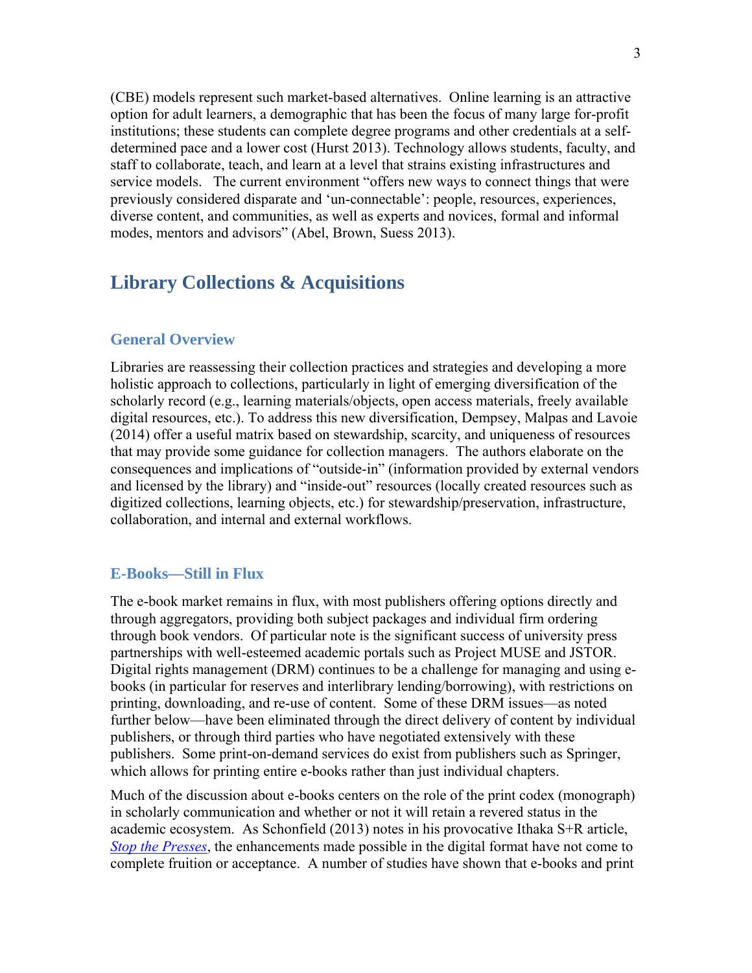(CBE) models represent such market-based alternatives. Online learning is an attractive option for adult learners, a demographic that has been the focus of many large for-profit institutions; these students can complete degree programs and other credentials at a selfdetermined pace and a lower cost (Hurst 2013). Technology allows students, faculty, and staff to collaborate, teach, and learn at a level that strains existing infrastructures and service models. The current environment "offers new ways to connect things that were previously considered disparate and 'un-connectable': people, resources, experiences, diverse content, and communities, as well as experts and novices, formal and informal modes, mentors and advisors" (Abel, Brown, Suess 2013).

# **Library Collections & Acquisitions**

#### **General Overview**

Libraries are reassessing their collection practices and strategies and developing a more holistic approach to collections, particularly in light of emerging diversification of the scholarly record (e.g., learning materials/objects, open access materials, freely available digital resources, etc.). To address this new diversification, Dempsey, Malpas and Lavoie (2014) offer a useful matrix based on stewardship, scarcity, and uniqueness of resources that may provide some guidance for collection managers. The authors elaborate on the consequences and implications of "outside-in" (information provided by external vendors and licensed by the library) and "inside-out" resources (locally created resources such as digitized collections, learning objects, etc.) for stewardship/preservation, infrastructure, collaboration, and internal and external workflows.

#### **E-Books—Still in Flux**

The e-book market remains in flux, with most publishers offering options directly and through aggregators, providing both subject packages and individual firm ordering through book vendors. Of particular note is the significant success of university press partnerships with well-esteemed academic portals such as Project MUSE and JSTOR. Digital rights management (DRM) continues to be a challenge for managing and using ebooks (in particular for reserves and interlibrary lending/borrowing), with restrictions on printing, downloading, and re-use of content. Some of these DRM issues—as noted further below—have been eliminated through the direct delivery of content by individual publishers, or through third parties who have negotiated extensively with these publishers. Some print-on-demand services do exist from publishers such as Springer, which allows for printing entire e-books rather than just individual chapters.

Much of the discussion about e-books centers on the role of the print codex (monograph) in scholarly communication and whether or not it will retain a revered status in the academic ecosystem. As Schonfield (2013) notes in his provocative Ithaka S+R article, *Stop the Presses*, the enhancements made possible in the digital format have not come to complete fruition or acceptance. A number of studies have shown that e-books and print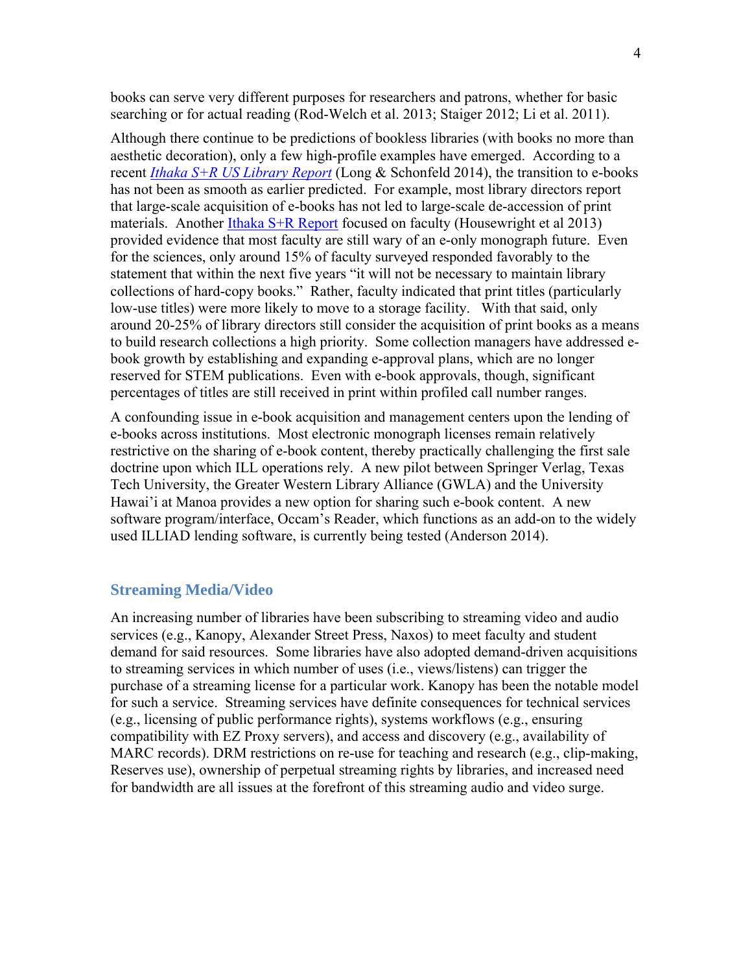books can serve very different purposes for researchers and patrons, whether for basic searching or for actual reading (Rod-Welch et al. 2013; Staiger 2012; Li et al. 2011).

Although there continue to be predictions of bookless libraries (with books no more than aesthetic decoration), only a few high-profile examples have emerged. According to a recent *Ithaka S+R US Library Report* (Long & Schonfeld 2014), the transition to e-books has not been as smooth as earlier predicted. For example, most library directors report that large-scale acquisition of e-books has not led to large-scale de-accession of print materials. Another Ithaka S+R Report focused on faculty (Housewright et al 2013) provided evidence that most faculty are still wary of an e-only monograph future. Even for the sciences, only around 15% of faculty surveyed responded favorably to the statement that within the next five years "it will not be necessary to maintain library collections of hard-copy books." Rather, faculty indicated that print titles (particularly low-use titles) were more likely to move to a storage facility. With that said, only around 20-25% of library directors still consider the acquisition of print books as a means to build research collections a high priority. Some collection managers have addressed ebook growth by establishing and expanding e-approval plans, which are no longer reserved for STEM publications. Even with e-book approvals, though, significant percentages of titles are still received in print within profiled call number ranges.

A confounding issue in e-book acquisition and management centers upon the lending of e-books across institutions. Most electronic monograph licenses remain relatively restrictive on the sharing of e-book content, thereby practically challenging the first sale doctrine upon which ILL operations rely. A new pilot between Springer Verlag, Texas Tech University, the Greater Western Library Alliance (GWLA) and the University Hawai'i at Manoa provides a new option for sharing such e-book content. A new software program/interface, Occam's Reader, which functions as an add-on to the widely used ILLIAD lending software, is currently being tested (Anderson 2014).

#### **Streaming Media/Video**

An increasing number of libraries have been subscribing to streaming video and audio services (e.g., Kanopy, Alexander Street Press, Naxos) to meet faculty and student demand for said resources. Some libraries have also adopted demand-driven acquisitions to streaming services in which number of uses (i.e., views/listens) can trigger the purchase of a streaming license for a particular work. Kanopy has been the notable model for such a service. Streaming services have definite consequences for technical services (e.g., licensing of public performance rights), systems workflows (e.g., ensuring compatibility with EZ Proxy servers), and access and discovery (e.g., availability of MARC records). DRM restrictions on re-use for teaching and research (e.g., clip-making, Reserves use), ownership of perpetual streaming rights by libraries, and increased need for bandwidth are all issues at the forefront of this streaming audio and video surge.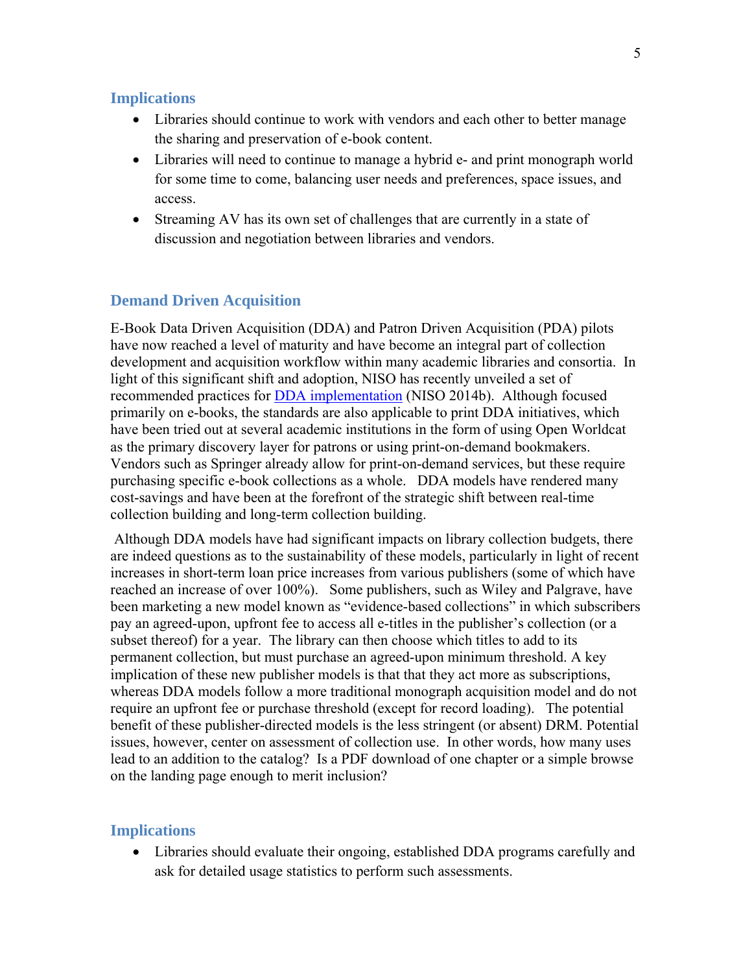#### **Implications**

- Libraries should continue to work with vendors and each other to better manage the sharing and preservation of e-book content.
- Libraries will need to continue to manage a hybrid e- and print monograph world for some time to come, balancing user needs and preferences, space issues, and access.
- Streaming AV has its own set of challenges that are currently in a state of discussion and negotiation between libraries and vendors.

## **Demand Driven Acquisition**

E-Book Data Driven Acquisition (DDA) and Patron Driven Acquisition (PDA) pilots have now reached a level of maturity and have become an integral part of collection development and acquisition workflow within many academic libraries and consortia. In light of this significant shift and adoption, NISO has recently unveiled a set of recommended practices for **DDA** implementation (NISO 2014b). Although focused primarily on e-books, the standards are also applicable to print DDA initiatives, which have been tried out at several academic institutions in the form of using Open Worldcat as the primary discovery layer for patrons or using print-on-demand bookmakers. Vendors such as Springer already allow for print-on-demand services, but these require purchasing specific e-book collections as a whole. DDA models have rendered many cost-savings and have been at the forefront of the strategic shift between real-time collection building and long-term collection building.

 Although DDA models have had significant impacts on library collection budgets, there are indeed questions as to the sustainability of these models, particularly in light of recent increases in short-term loan price increases from various publishers (some of which have reached an increase of over 100%). Some publishers, such as Wiley and Palgrave, have been marketing a new model known as "evidence-based collections" in which subscribers pay an agreed-upon, upfront fee to access all e-titles in the publisher's collection (or a subset thereof) for a year. The library can then choose which titles to add to its permanent collection, but must purchase an agreed-upon minimum threshold. A key implication of these new publisher models is that that they act more as subscriptions, whereas DDA models follow a more traditional monograph acquisition model and do not require an upfront fee or purchase threshold (except for record loading). The potential benefit of these publisher-directed models is the less stringent (or absent) DRM. Potential issues, however, center on assessment of collection use. In other words, how many uses lead to an addition to the catalog? Is a PDF download of one chapter or a simple browse on the landing page enough to merit inclusion?

#### **Implications**

 Libraries should evaluate their ongoing, established DDA programs carefully and ask for detailed usage statistics to perform such assessments.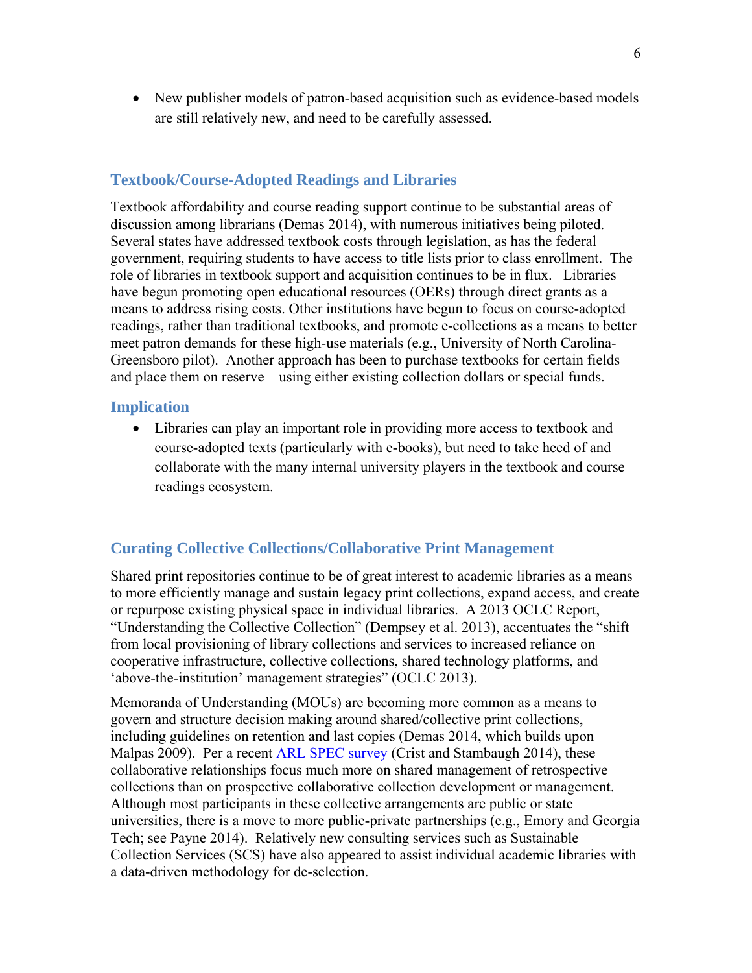New publisher models of patron-based acquisition such as evidence-based models are still relatively new, and need to be carefully assessed.

#### **Textbook/Course-Adopted Readings and Libraries**

Textbook affordability and course reading support continue to be substantial areas of discussion among librarians (Demas 2014), with numerous initiatives being piloted. Several states have addressed textbook costs through legislation, as has the federal government, requiring students to have access to title lists prior to class enrollment. The role of libraries in textbook support and acquisition continues to be in flux. Libraries have begun promoting open educational resources (OERs) through direct grants as a means to address rising costs. Other institutions have begun to focus on course-adopted readings, rather than traditional textbooks, and promote e-collections as a means to better meet patron demands for these high-use materials (e.g., University of North Carolina-Greensboro pilot). Another approach has been to purchase textbooks for certain fields and place them on reserve—using either existing collection dollars or special funds.

#### **Implication**

 Libraries can play an important role in providing more access to textbook and course-adopted texts (particularly with e-books), but need to take heed of and collaborate with the many internal university players in the textbook and course readings ecosystem.

#### **Curating Collective Collections/Collaborative Print Management**

Shared print repositories continue to be of great interest to academic libraries as a means to more efficiently manage and sustain legacy print collections, expand access, and create or repurpose existing physical space in individual libraries. A 2013 OCLC Report, "Understanding the Collective Collection" (Dempsey et al. 2013), accentuates the "shift from local provisioning of library collections and services to increased reliance on cooperative infrastructure, collective collections, shared technology platforms, and 'above-the-institution' management strategies" (OCLC 2013).

Memoranda of Understanding (MOUs) are becoming more common as a means to govern and structure decision making around shared/collective print collections, including guidelines on retention and last copies (Demas 2014, which builds upon Malpas 2009). Per a recent ARL SPEC survey (Crist and Stambaugh 2014), these collaborative relationships focus much more on shared management of retrospective collections than on prospective collaborative collection development or management. Although most participants in these collective arrangements are public or state universities, there is a move to more public-private partnerships (e.g., Emory and Georgia Tech; see Payne 2014). Relatively new consulting services such as Sustainable Collection Services (SCS) have also appeared to assist individual academic libraries with a data-driven methodology for de-selection.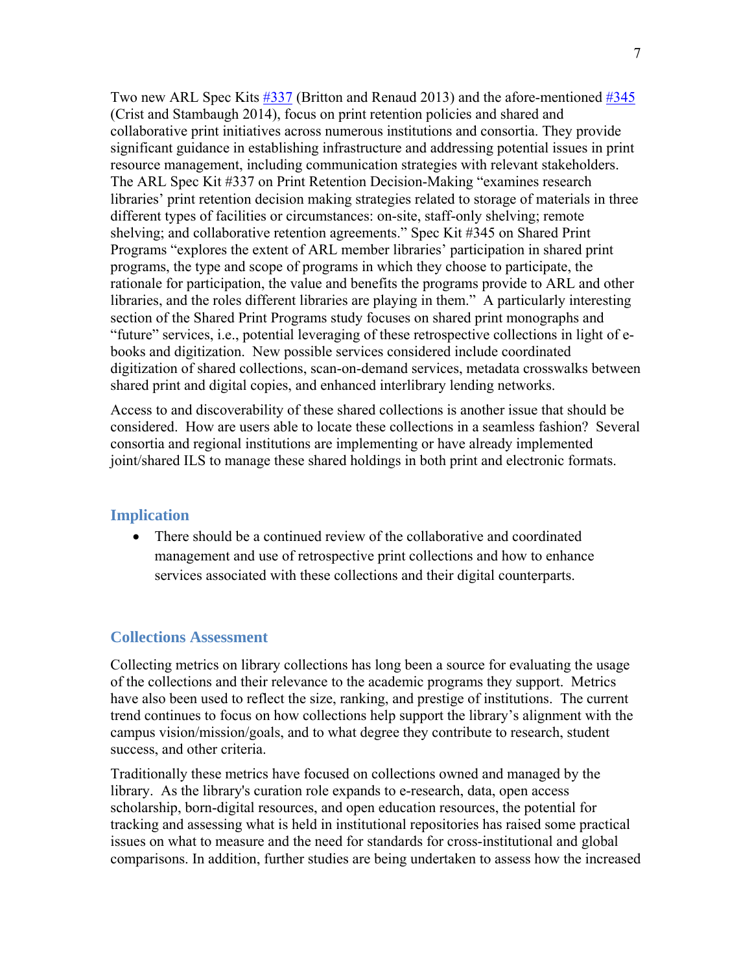Two new ARL Spec Kits #337 (Britton and Renaud 2013) and the afore-mentioned #345 (Crist and Stambaugh 2014), focus on print retention policies and shared and collaborative print initiatives across numerous institutions and consortia. They provide significant guidance in establishing infrastructure and addressing potential issues in print resource management, including communication strategies with relevant stakeholders. The ARL Spec Kit #337 on Print Retention Decision-Making "examines research libraries' print retention decision making strategies related to storage of materials in three different types of facilities or circumstances: on-site, staff-only shelving; remote shelving; and collaborative retention agreements." Spec Kit #345 on Shared Print Programs "explores the extent of ARL member libraries' participation in shared print programs, the type and scope of programs in which they choose to participate, the rationale for participation, the value and benefits the programs provide to ARL and other libraries, and the roles different libraries are playing in them." A particularly interesting section of the Shared Print Programs study focuses on shared print monographs and "future" services, i.e., potential leveraging of these retrospective collections in light of ebooks and digitization. New possible services considered include coordinated digitization of shared collections, scan-on-demand services, metadata crosswalks between shared print and digital copies, and enhanced interlibrary lending networks.

Access to and discoverability of these shared collections is another issue that should be considered. How are users able to locate these collections in a seamless fashion? Several consortia and regional institutions are implementing or have already implemented joint/shared ILS to manage these shared holdings in both print and electronic formats.

## **Implication**

• There should be a continued review of the collaborative and coordinated management and use of retrospective print collections and how to enhance services associated with these collections and their digital counterparts.

## **Collections Assessment**

Collecting metrics on library collections has long been a source for evaluating the usage of the collections and their relevance to the academic programs they support. Metrics have also been used to reflect the size, ranking, and prestige of institutions. The current trend continues to focus on how collections help support the library's alignment with the campus vision/mission/goals, and to what degree they contribute to research, student success, and other criteria.

Traditionally these metrics have focused on collections owned and managed by the library. As the library's curation role expands to e-research, data, open access scholarship, born-digital resources, and open education resources, the potential for tracking and assessing what is held in institutional repositories has raised some practical issues on what to measure and the need for standards for cross-institutional and global comparisons. In addition, further studies are being undertaken to assess how the increased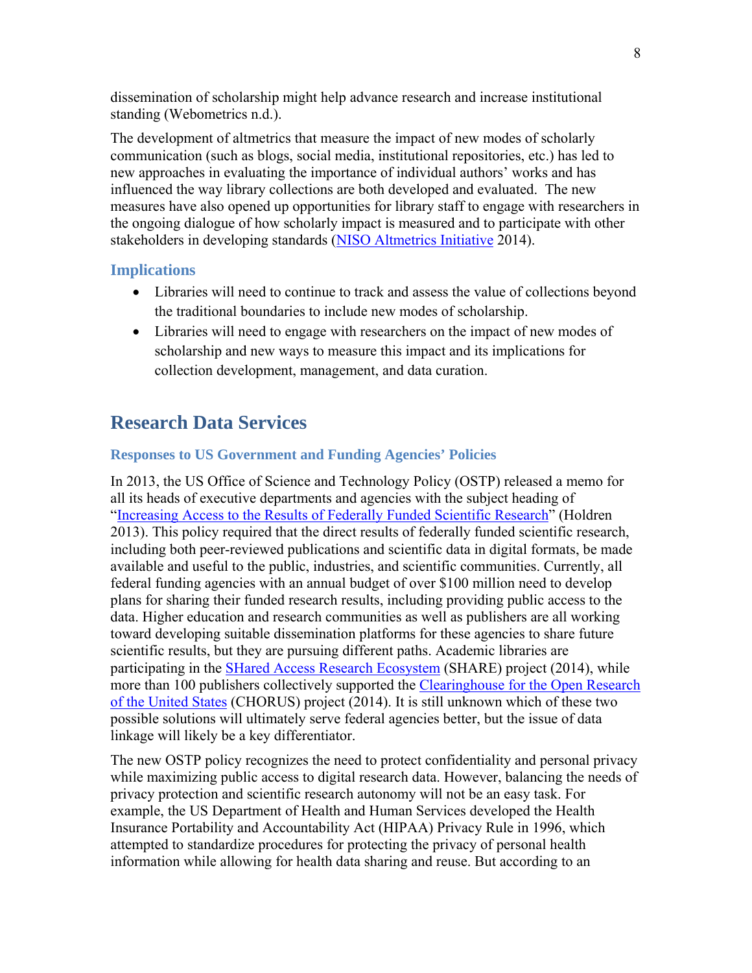dissemination of scholarship might help advance research and increase institutional standing (Webometrics n.d.).

The development of altmetrics that measure the impact of new modes of scholarly communication (such as blogs, social media, institutional repositories, etc.) has led to new approaches in evaluating the importance of individual authors' works and has influenced the way library collections are both developed and evaluated. The new measures have also opened up opportunities for library staff to engage with researchers in the ongoing dialogue of how scholarly impact is measured and to participate with other stakeholders in developing standards (NISO Altmetrics Initiative 2014).

## **Implications**

- Libraries will need to continue to track and assess the value of collections beyond the traditional boundaries to include new modes of scholarship.
- Libraries will need to engage with researchers on the impact of new modes of scholarship and new ways to measure this impact and its implications for collection development, management, and data curation.

# **Research Data Services**

#### **Responses to US Government and Funding Agencies' Policies**

In 2013, the US Office of Science and Technology Policy (OSTP) released a memo for all its heads of executive departments and agencies with the subject heading of "Increasing Access to the Results of Federally Funded Scientific Research" (Holdren 2013). This policy required that the direct results of federally funded scientific research, including both peer-reviewed publications and scientific data in digital formats, be made available and useful to the public, industries, and scientific communities. Currently, all federal funding agencies with an annual budget of over \$100 million need to develop plans for sharing their funded research results, including providing public access to the data. Higher education and research communities as well as publishers are all working toward developing suitable dissemination platforms for these agencies to share future scientific results, but they are pursuing different paths. Academic libraries are participating in the **SHared Access Research Ecosystem** (SHARE) project (2014), while more than 100 publishers collectively supported the Clearinghouse for the Open Research of the United States (CHORUS) project (2014). It is still unknown which of these two possible solutions will ultimately serve federal agencies better, but the issue of data linkage will likely be a key differentiator.

The new OSTP policy recognizes the need to protect confidentiality and personal privacy while maximizing public access to digital research data. However, balancing the needs of privacy protection and scientific research autonomy will not be an easy task. For example, the US Department of Health and Human Services developed the Health Insurance Portability and Accountability Act (HIPAA) Privacy Rule in 1996, which attempted to standardize procedures for protecting the privacy of personal health information while allowing for health data sharing and reuse. But according to an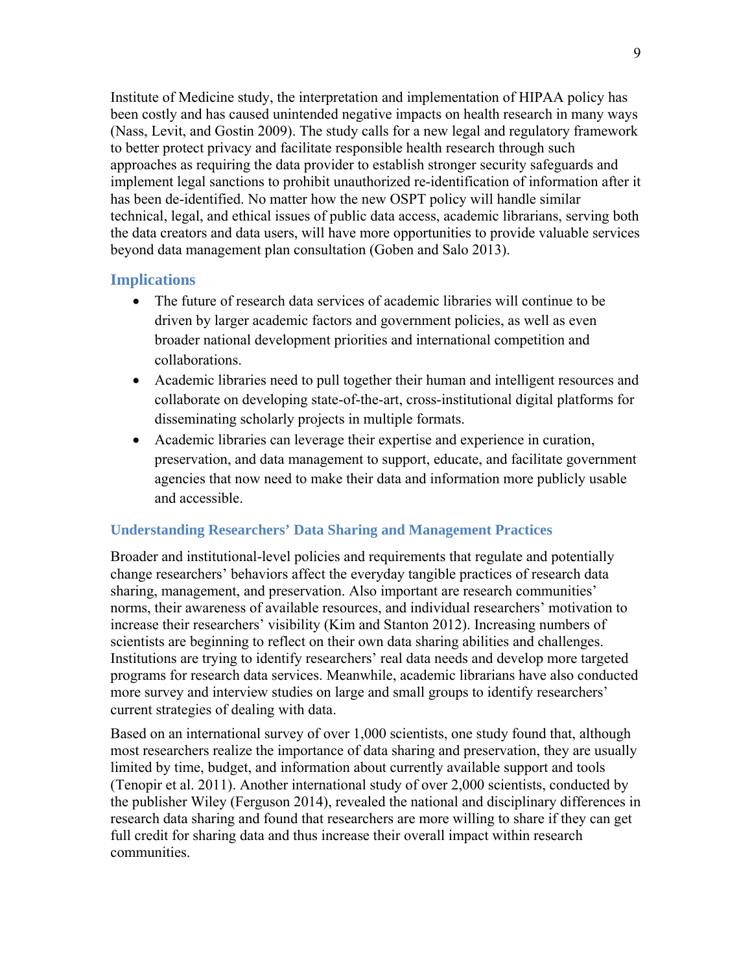Institute of Medicine study, the interpretation and implementation of HIPAA policy has been costly and has caused unintended negative impacts on health research in many ways (Nass, Levit, and Gostin 2009). The study calls for a new legal and regulatory framework to better protect privacy and facilitate responsible health research through such approaches as requiring the data provider to establish stronger security safeguards and implement legal sanctions to prohibit unauthorized re-identification of information after it has been de-identified. No matter how the new OSPT policy will handle similar technical, legal, and ethical issues of public data access, academic librarians, serving both the data creators and data users, will have more opportunities to provide valuable services beyond data management plan consultation (Goben and Salo 2013).

#### **Implications**

- The future of research data services of academic libraries will continue to be driven by larger academic factors and government policies, as well as even broader national development priorities and international competition and collaborations.
- Academic libraries need to pull together their human and intelligent resources and collaborate on developing state-of-the-art, cross-institutional digital platforms for disseminating scholarly projects in multiple formats.
- Academic libraries can leverage their expertise and experience in curation, preservation, and data management to support, educate, and facilitate government agencies that now need to make their data and information more publicly usable and accessible.

## **Understanding Researchers' Data Sharing and Management Practices**

Broader and institutional-level policies and requirements that regulate and potentially change researchers' behaviors affect the everyday tangible practices of research data sharing, management, and preservation. Also important are research communities' norms, their awareness of available resources, and individual researchers' motivation to increase their researchers' visibility (Kim and Stanton 2012). Increasing numbers of scientists are beginning to reflect on their own data sharing abilities and challenges. Institutions are trying to identify researchers' real data needs and develop more targeted programs for research data services. Meanwhile, academic librarians have also conducted more survey and interview studies on large and small groups to identify researchers' current strategies of dealing with data.

Based on an international survey of over 1,000 scientists, one study found that, although most researchers realize the importance of data sharing and preservation, they are usually limited by time, budget, and information about currently available support and tools (Tenopir et al. 2011). Another international study of over 2,000 scientists, conducted by the publisher Wiley (Ferguson 2014), revealed the national and disciplinary differences in research data sharing and found that researchers are more willing to share if they can get full credit for sharing data and thus increase their overall impact within research communities.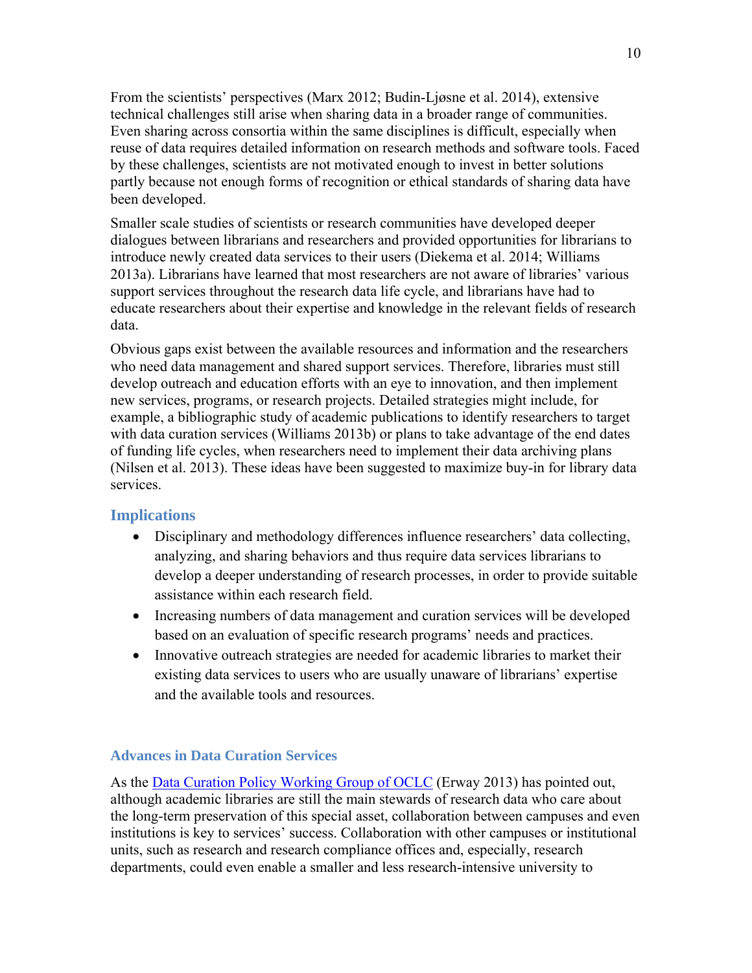From the scientists' perspectives (Marx 2012; Budin-Ljøsne et al. 2014), extensive technical challenges still arise when sharing data in a broader range of communities. Even sharing across consortia within the same disciplines is difficult, especially when reuse of data requires detailed information on research methods and software tools. Faced by these challenges, scientists are not motivated enough to invest in better solutions partly because not enough forms of recognition or ethical standards of sharing data have been developed.

Smaller scale studies of scientists or research communities have developed deeper dialogues between librarians and researchers and provided opportunities for librarians to introduce newly created data services to their users (Diekema et al. 2014; Williams 2013a). Librarians have learned that most researchers are not aware of libraries' various support services throughout the research data life cycle, and librarians have had to educate researchers about their expertise and knowledge in the relevant fields of research data.

Obvious gaps exist between the available resources and information and the researchers who need data management and shared support services. Therefore, libraries must still develop outreach and education efforts with an eye to innovation, and then implement new services, programs, or research projects. Detailed strategies might include, for example, a bibliographic study of academic publications to identify researchers to target with data curation services (Williams 2013b) or plans to take advantage of the end dates of funding life cycles, when researchers need to implement their data archiving plans (Nilsen et al. 2013). These ideas have been suggested to maximize buy-in for library data services.

#### **Implications**

- Disciplinary and methodology differences influence researchers' data collecting, analyzing, and sharing behaviors and thus require data services librarians to develop a deeper understanding of research processes, in order to provide suitable assistance within each research field.
- Increasing numbers of data management and curation services will be developed based on an evaluation of specific research programs' needs and practices.
- Innovative outreach strategies are needed for academic libraries to market their existing data services to users who are usually unaware of librarians' expertise and the available tools and resources.

#### **Advances in Data Curation Services**

As the Data Curation Policy Working Group of OCLC (Erway 2013) has pointed out, although academic libraries are still the main stewards of research data who care about the long-term preservation of this special asset, collaboration between campuses and even institutions is key to services' success. Collaboration with other campuses or institutional units, such as research and research compliance offices and, especially, research departments, could even enable a smaller and less research-intensive university to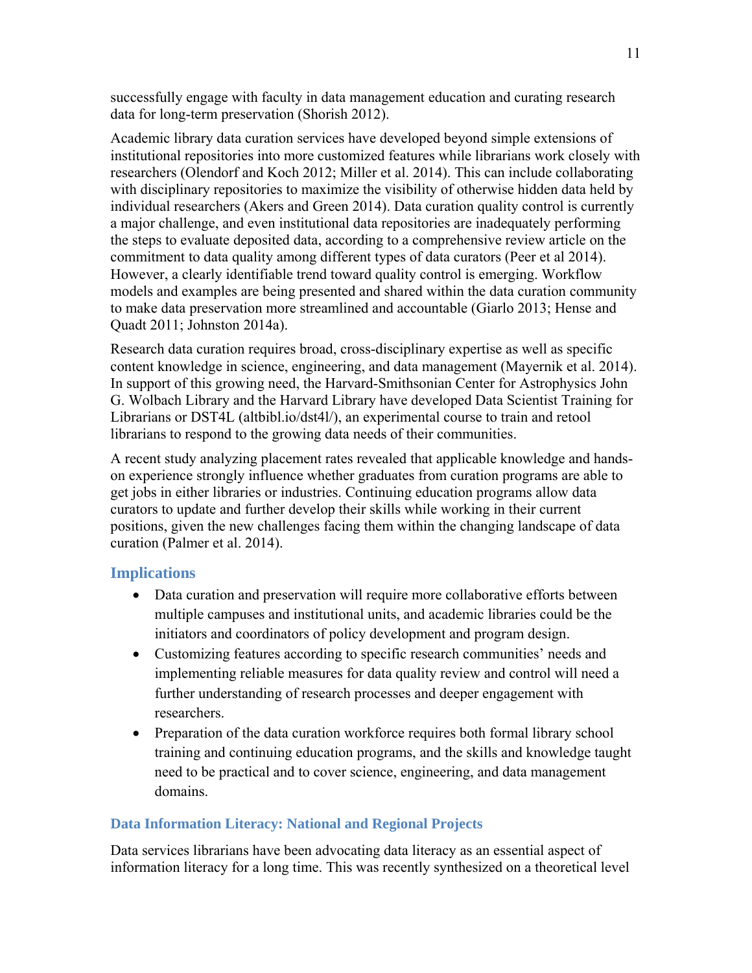successfully engage with faculty in data management education and curating research data for long-term preservation (Shorish 2012).

Academic library data curation services have developed beyond simple extensions of institutional repositories into more customized features while librarians work closely with researchers (Olendorf and Koch 2012; Miller et al. 2014). This can include collaborating with disciplinary repositories to maximize the visibility of otherwise hidden data held by individual researchers (Akers and Green 2014). Data curation quality control is currently a major challenge, and even institutional data repositories are inadequately performing the steps to evaluate deposited data, according to a comprehensive review article on the commitment to data quality among different types of data curators (Peer et al 2014). However, a clearly identifiable trend toward quality control is emerging. Workflow models and examples are being presented and shared within the data curation community to make data preservation more streamlined and accountable (Giarlo 2013; Hense and Quadt 2011; Johnston 2014a).

Research data curation requires broad, cross-disciplinary expertise as well as specific content knowledge in science, engineering, and data management (Mayernik et al. 2014). In support of this growing need, the Harvard-Smithsonian Center for Astrophysics John G. Wolbach Library and the Harvard Library have developed Data Scientist Training for Librarians or DST4L (altbibl.io/dst4l/), an experimental course to train and retool librarians to respond to the growing data needs of their communities.

A recent study analyzing placement rates revealed that applicable knowledge and handson experience strongly influence whether graduates from curation programs are able to get jobs in either libraries or industries. Continuing education programs allow data curators to update and further develop their skills while working in their current positions, given the new challenges facing them within the changing landscape of data curation (Palmer et al. 2014).

## **Implications**

- Data curation and preservation will require more collaborative efforts between multiple campuses and institutional units, and academic libraries could be the initiators and coordinators of policy development and program design.
- Customizing features according to specific research communities' needs and implementing reliable measures for data quality review and control will need a further understanding of research processes and deeper engagement with researchers.
- Preparation of the data curation workforce requires both formal library school training and continuing education programs, and the skills and knowledge taught need to be practical and to cover science, engineering, and data management domains.

## **Data Information Literacy: National and Regional Projects**

Data services librarians have been advocating data literacy as an essential aspect of information literacy for a long time. This was recently synthesized on a theoretical level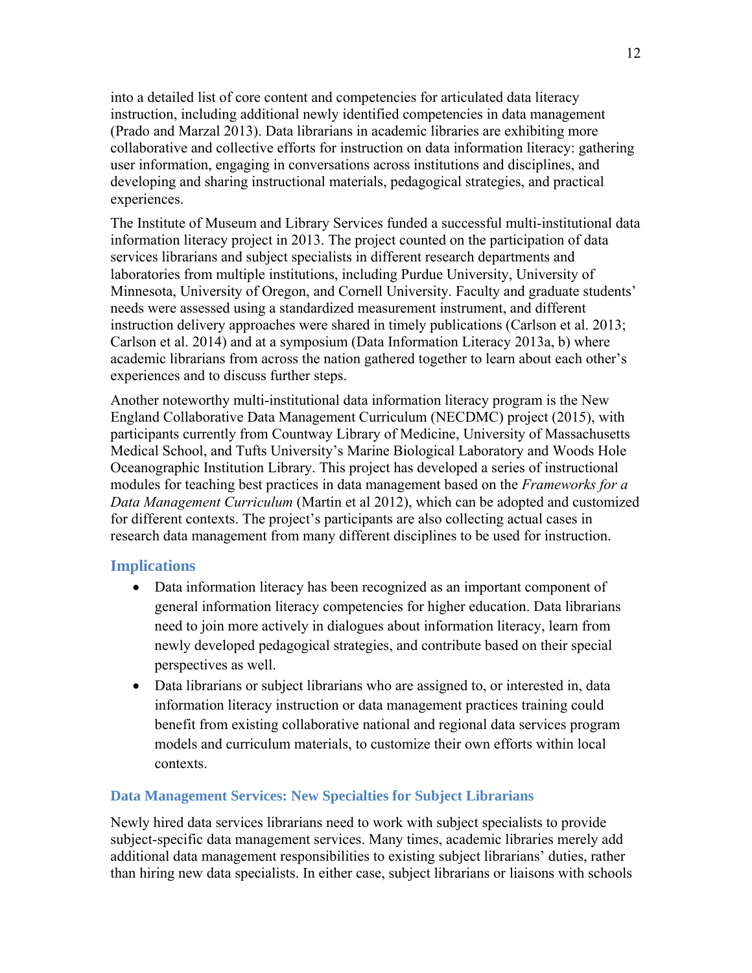into a detailed list of core content and competencies for articulated data literacy instruction, including additional newly identified competencies in data management (Prado and Marzal 2013). Data librarians in academic libraries are exhibiting more collaborative and collective efforts for instruction on data information literacy: gathering user information, engaging in conversations across institutions and disciplines, and developing and sharing instructional materials, pedagogical strategies, and practical experiences.

The Institute of Museum and Library Services funded a successful multi-institutional data information literacy project in 2013. The project counted on the participation of data services librarians and subject specialists in different research departments and laboratories from multiple institutions, including Purdue University, University of Minnesota, University of Oregon, and Cornell University. Faculty and graduate students' needs were assessed using a standardized measurement instrument, and different instruction delivery approaches were shared in timely publications (Carlson et al. 2013; Carlson et al. 2014) and at a symposium (Data Information Literacy 2013a, b) where academic librarians from across the nation gathered together to learn about each other's experiences and to discuss further steps.

Another noteworthy multi-institutional data information literacy program is the New England Collaborative Data Management Curriculum (NECDMC) project (2015), with participants currently from Countway Library of Medicine, University of Massachusetts Medical School, and Tufts University's Marine Biological Laboratory and Woods Hole Oceanographic Institution Library. This project has developed a series of instructional modules for teaching best practices in data management based on the *Frameworks for a Data Management Curriculum* (Martin et al 2012), which can be adopted and customized for different contexts. The project's participants are also collecting actual cases in research data management from many different disciplines to be used for instruction.

## **Implications**

- Data information literacy has been recognized as an important component of general information literacy competencies for higher education. Data librarians need to join more actively in dialogues about information literacy, learn from newly developed pedagogical strategies, and contribute based on their special perspectives as well.
- Data librarians or subject librarians who are assigned to, or interested in, data information literacy instruction or data management practices training could benefit from existing collaborative national and regional data services program models and curriculum materials, to customize their own efforts within local contexts.

## **Data Management Services: New Specialties for Subject Librarians**

Newly hired data services librarians need to work with subject specialists to provide subject-specific data management services. Many times, academic libraries merely add additional data management responsibilities to existing subject librarians' duties, rather than hiring new data specialists. In either case, subject librarians or liaisons with schools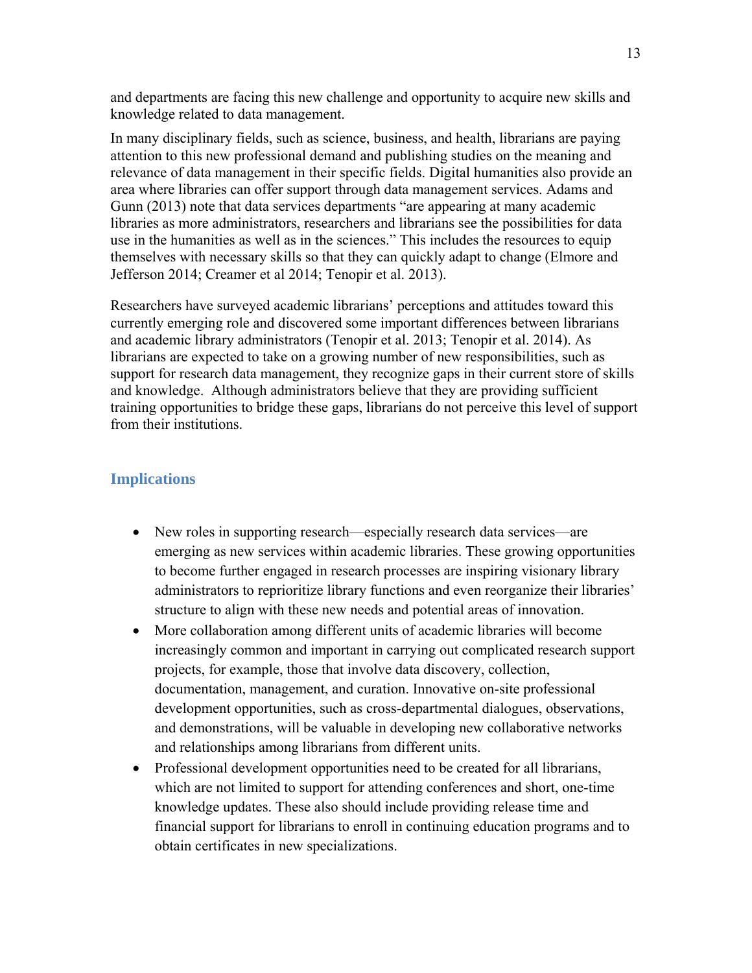and departments are facing this new challenge and opportunity to acquire new skills and knowledge related to data management.

In many disciplinary fields, such as science, business, and health, librarians are paying attention to this new professional demand and publishing studies on the meaning and relevance of data management in their specific fields. Digital humanities also provide an area where libraries can offer support through data management services. Adams and Gunn (2013) note that data services departments "are appearing at many academic libraries as more administrators, researchers and librarians see the possibilities for data use in the humanities as well as in the sciences." This includes the resources to equip themselves with necessary skills so that they can quickly adapt to change (Elmore and Jefferson 2014; Creamer et al 2014; Tenopir et al. 2013).

Researchers have surveyed academic librarians' perceptions and attitudes toward this currently emerging role and discovered some important differences between librarians and academic library administrators (Tenopir et al. 2013; Tenopir et al. 2014). As librarians are expected to take on a growing number of new responsibilities, such as support for research data management, they recognize gaps in their current store of skills and knowledge. Although administrators believe that they are providing sufficient training opportunities to bridge these gaps, librarians do not perceive this level of support from their institutions.

#### **Implications**

- New roles in supporting research—especially research data services—are emerging as new services within academic libraries. These growing opportunities to become further engaged in research processes are inspiring visionary library administrators to reprioritize library functions and even reorganize their libraries' structure to align with these new needs and potential areas of innovation.
- More collaboration among different units of academic libraries will become increasingly common and important in carrying out complicated research support projects, for example, those that involve data discovery, collection, documentation, management, and curation. Innovative on-site professional development opportunities, such as cross-departmental dialogues, observations, and demonstrations, will be valuable in developing new collaborative networks and relationships among librarians from different units.
- Professional development opportunities need to be created for all librarians, which are not limited to support for attending conferences and short, one-time knowledge updates. These also should include providing release time and financial support for librarians to enroll in continuing education programs and to obtain certificates in new specializations.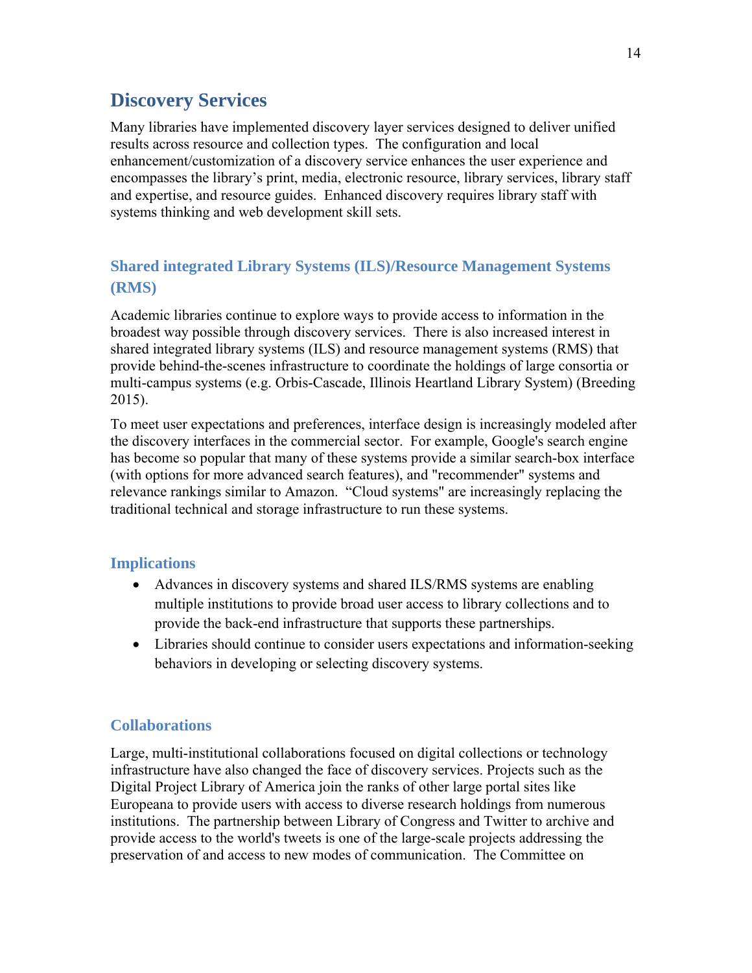# **Discovery Services**

Many libraries have implemented discovery layer services designed to deliver unified results across resource and collection types. The configuration and local enhancement/customization of a discovery service enhances the user experience and encompasses the library's print, media, electronic resource, library services, library staff and expertise, and resource guides. Enhanced discovery requires library staff with systems thinking and web development skill sets.

## **Shared integrated Library Systems (ILS)/Resource Management Systems (RMS)**

Academic libraries continue to explore ways to provide access to information in the broadest way possible through discovery services. There is also increased interest in shared integrated library systems (ILS) and resource management systems (RMS) that provide behind-the-scenes infrastructure to coordinate the holdings of large consortia or multi-campus systems (e.g. Orbis-Cascade, Illinois Heartland Library System) (Breeding 2015).

To meet user expectations and preferences, interface design is increasingly modeled after the discovery interfaces in the commercial sector. For example, Google's search engine has become so popular that many of these systems provide a similar search-box interface (with options for more advanced search features), and "recommender" systems and relevance rankings similar to Amazon. "Cloud systems" are increasingly replacing the traditional technical and storage infrastructure to run these systems.

## **Implications**

- Advances in discovery systems and shared ILS/RMS systems are enabling multiple institutions to provide broad user access to library collections and to provide the back-end infrastructure that supports these partnerships.
- Libraries should continue to consider users expectations and information-seeking behaviors in developing or selecting discovery systems.

## **Collaborations**

Large, multi-institutional collaborations focused on digital collections or technology infrastructure have also changed the face of discovery services. Projects such as the Digital Project Library of America join the ranks of other large portal sites like Europeana to provide users with access to diverse research holdings from numerous institutions. The partnership between Library of Congress and Twitter to archive and provide access to the world's tweets is one of the large-scale projects addressing the preservation of and access to new modes of communication. The Committee on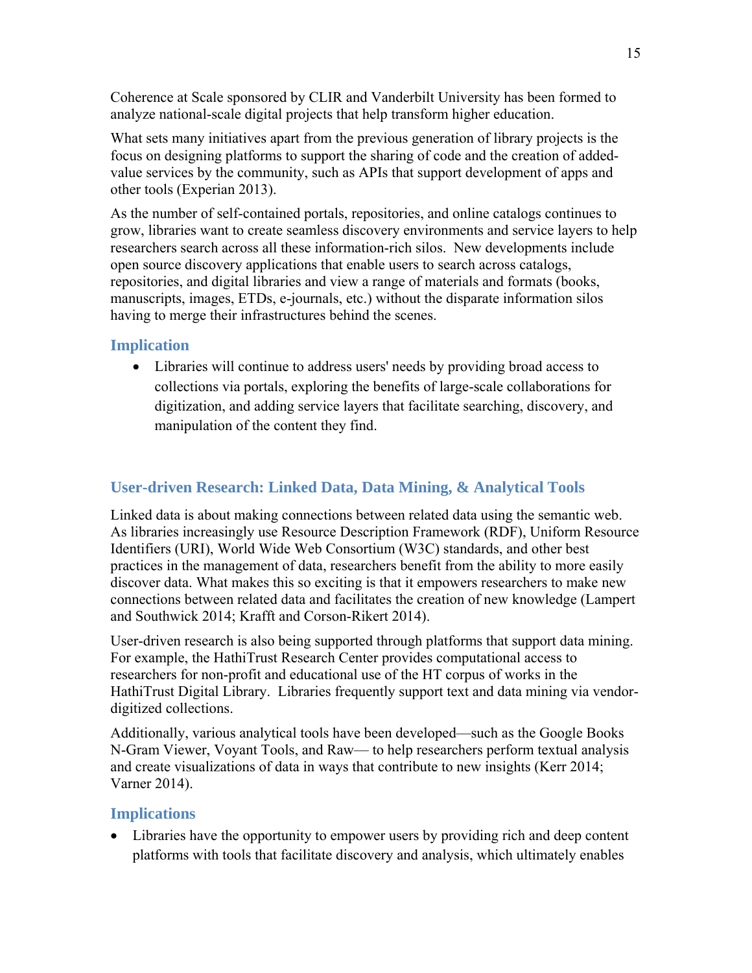Coherence at Scale sponsored by CLIR and Vanderbilt University has been formed to analyze national-scale digital projects that help transform higher education.

What sets many initiatives apart from the previous generation of library projects is the focus on designing platforms to support the sharing of code and the creation of addedvalue services by the community, such as APIs that support development of apps and other tools (Experian 2013).

As the number of self-contained portals, repositories, and online catalogs continues to grow, libraries want to create seamless discovery environments and service layers to help researchers search across all these information-rich silos. New developments include open source discovery applications that enable users to search across catalogs, repositories, and digital libraries and view a range of materials and formats (books, manuscripts, images, ETDs, e-journals, etc.) without the disparate information silos having to merge their infrastructures behind the scenes.

## **Implication**

 Libraries will continue to address users' needs by providing broad access to collections via portals, exploring the benefits of large-scale collaborations for digitization, and adding service layers that facilitate searching, discovery, and manipulation of the content they find.

## **User-driven Research: Linked Data, Data Mining, & Analytical Tools**

Linked data is about making connections between related data using the semantic web. As libraries increasingly use Resource Description Framework (RDF), Uniform Resource Identifiers (URI), World Wide Web Consortium (W3C) standards, and other best practices in the management of data, researchers benefit from the ability to more easily discover data. What makes this so exciting is that it empowers researchers to make new connections between related data and facilitates the creation of new knowledge (Lampert and Southwick 2014; Krafft and Corson-Rikert 2014).

User-driven research is also being supported through platforms that support data mining. For example, the HathiTrust Research Center provides computational access to researchers for non-profit and educational use of the HT corpus of works in the HathiTrust Digital Library. Libraries frequently support text and data mining via vendordigitized collections.

Additionally, various analytical tools have been developed—such as the Google Books N-Gram Viewer, Voyant Tools, and Raw— to help researchers perform textual analysis and create visualizations of data in ways that contribute to new insights (Kerr 2014; Varner 2014).

## **Implications**

 Libraries have the opportunity to empower users by providing rich and deep content platforms with tools that facilitate discovery and analysis, which ultimately enables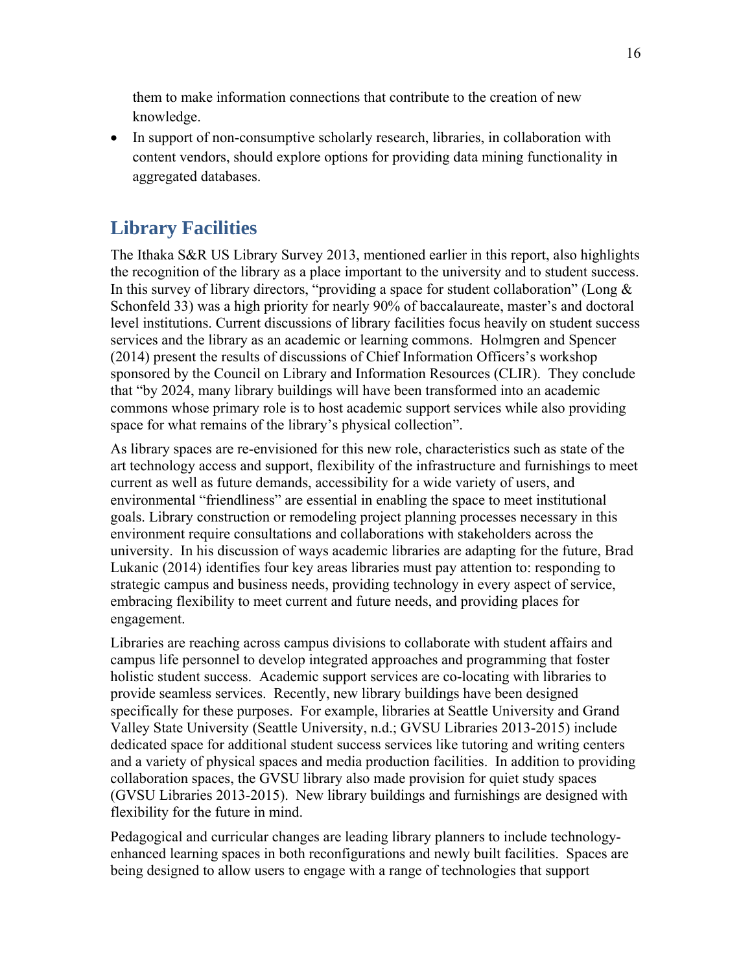them to make information connections that contribute to the creation of new knowledge.

• In support of non-consumptive scholarly research, libraries, in collaboration with content vendors, should explore options for providing data mining functionality in aggregated databases.

# **Library Facilities**

The Ithaka S&R US Library Survey 2013, mentioned earlier in this report, also highlights the recognition of the library as a place important to the university and to student success. In this survey of library directors, "providing a space for student collaboration" (Long & Schonfeld 33) was a high priority for nearly 90% of baccalaureate, master's and doctoral level institutions. Current discussions of library facilities focus heavily on student success services and the library as an academic or learning commons. Holmgren and Spencer (2014) present the results of discussions of Chief Information Officers's workshop sponsored by the Council on Library and Information Resources (CLIR). They conclude that "by 2024, many library buildings will have been transformed into an academic commons whose primary role is to host academic support services while also providing space for what remains of the library's physical collection".

As library spaces are re-envisioned for this new role, characteristics such as state of the art technology access and support, flexibility of the infrastructure and furnishings to meet current as well as future demands, accessibility for a wide variety of users, and environmental "friendliness" are essential in enabling the space to meet institutional goals. Library construction or remodeling project planning processes necessary in this environment require consultations and collaborations with stakeholders across the university. In his discussion of ways academic libraries are adapting for the future, Brad Lukanic (2014) identifies four key areas libraries must pay attention to: responding to strategic campus and business needs, providing technology in every aspect of service, embracing flexibility to meet current and future needs, and providing places for engagement.

Libraries are reaching across campus divisions to collaborate with student affairs and campus life personnel to develop integrated approaches and programming that foster holistic student success. Academic support services are co-locating with libraries to provide seamless services. Recently, new library buildings have been designed specifically for these purposes. For example, libraries at Seattle University and Grand Valley State University (Seattle University, n.d.; GVSU Libraries 2013-2015) include dedicated space for additional student success services like tutoring and writing centers and a variety of physical spaces and media production facilities. In addition to providing collaboration spaces, the GVSU library also made provision for quiet study spaces (GVSU Libraries 2013-2015). New library buildings and furnishings are designed with flexibility for the future in mind.

Pedagogical and curricular changes are leading library planners to include technologyenhanced learning spaces in both reconfigurations and newly built facilities. Spaces are being designed to allow users to engage with a range of technologies that support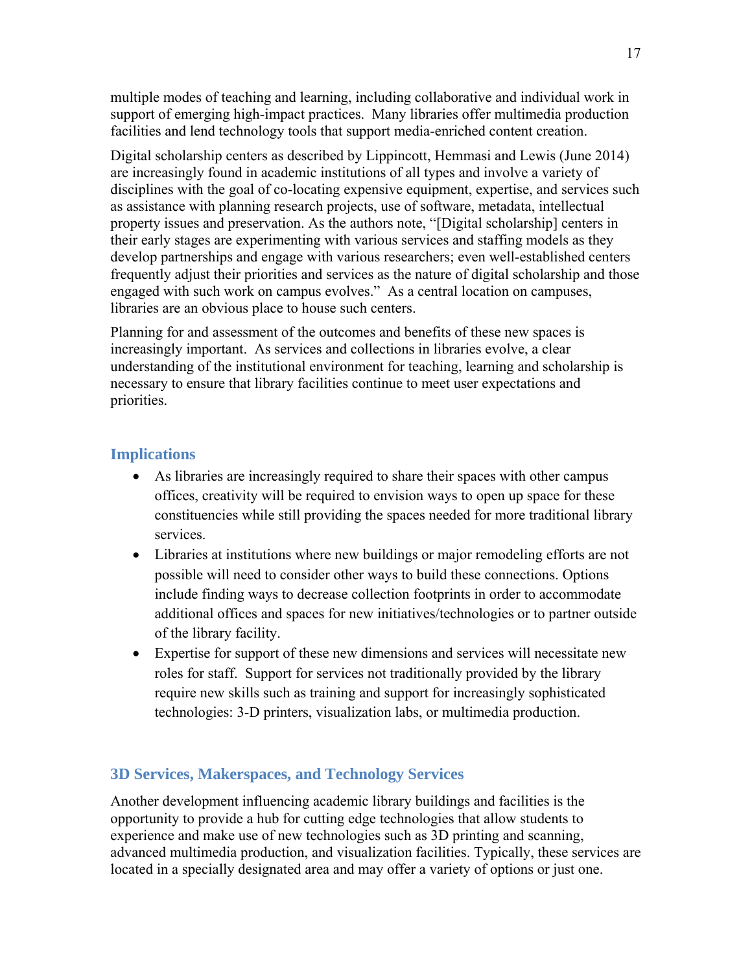multiple modes of teaching and learning, including collaborative and individual work in support of emerging high-impact practices. Many libraries offer multimedia production facilities and lend technology tools that support media-enriched content creation.

Digital scholarship centers as described by Lippincott, Hemmasi and Lewis (June 2014) are increasingly found in academic institutions of all types and involve a variety of disciplines with the goal of co-locating expensive equipment, expertise, and services such as assistance with planning research projects, use of software, metadata, intellectual property issues and preservation. As the authors note, "[Digital scholarship] centers in their early stages are experimenting with various services and staffing models as they develop partnerships and engage with various researchers; even well-established centers frequently adjust their priorities and services as the nature of digital scholarship and those engaged with such work on campus evolves." As a central location on campuses, libraries are an obvious place to house such centers.

Planning for and assessment of the outcomes and benefits of these new spaces is increasingly important. As services and collections in libraries evolve, a clear understanding of the institutional environment for teaching, learning and scholarship is necessary to ensure that library facilities continue to meet user expectations and priorities.

## **Implications**

- As libraries are increasingly required to share their spaces with other campus offices, creativity will be required to envision ways to open up space for these constituencies while still providing the spaces needed for more traditional library services.
- Libraries at institutions where new buildings or major remodeling efforts are not possible will need to consider other ways to build these connections. Options include finding ways to decrease collection footprints in order to accommodate additional offices and spaces for new initiatives/technologies or to partner outside of the library facility.
- Expertise for support of these new dimensions and services will necessitate new roles for staff. Support for services not traditionally provided by the library require new skills such as training and support for increasingly sophisticated technologies: 3-D printers, visualization labs, or multimedia production.

## **3D Services, Makerspaces, and Technology Services**

Another development influencing academic library buildings and facilities is the opportunity to provide a hub for cutting edge technologies that allow students to experience and make use of new technologies such as 3D printing and scanning, advanced multimedia production, and visualization facilities. Typically, these services are located in a specially designated area and may offer a variety of options or just one.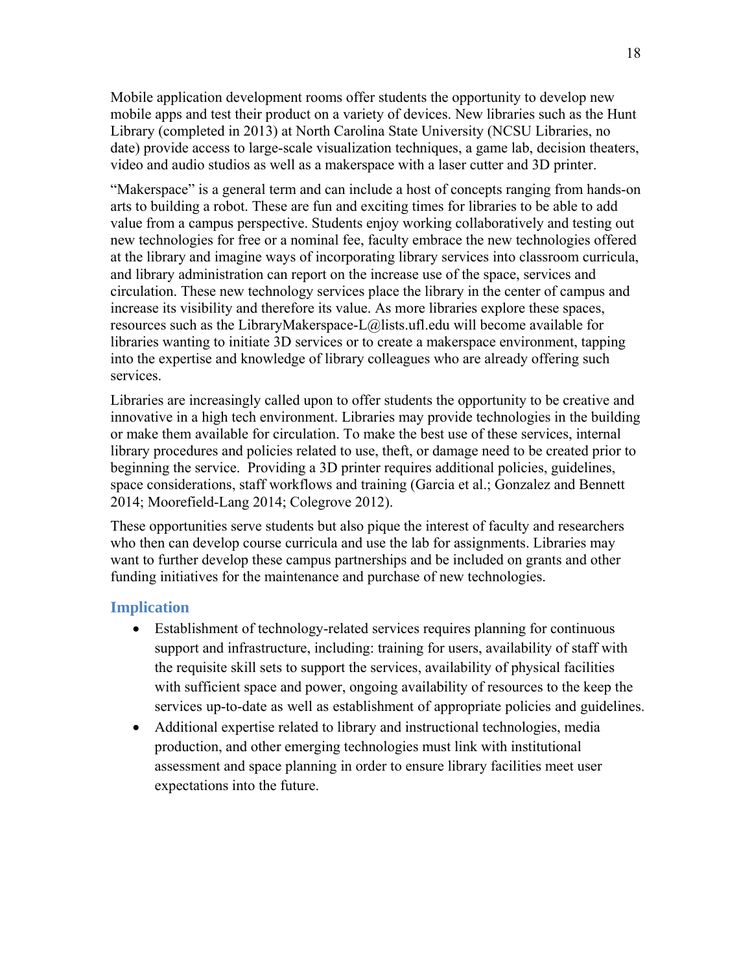Mobile application development rooms offer students the opportunity to develop new mobile apps and test their product on a variety of devices. New libraries such as the Hunt Library (completed in 2013) at North Carolina State University (NCSU Libraries, no date) provide access to large-scale visualization techniques, a game lab, decision theaters, video and audio studios as well as a makerspace with a laser cutter and 3D printer.

"Makerspace" is a general term and can include a host of concepts ranging from hands-on arts to building a robot. These are fun and exciting times for libraries to be able to add value from a campus perspective. Students enjoy working collaboratively and testing out new technologies for free or a nominal fee, faculty embrace the new technologies offered at the library and imagine ways of incorporating library services into classroom curricula, and library administration can report on the increase use of the space, services and circulation. These new technology services place the library in the center of campus and increase its visibility and therefore its value. As more libraries explore these spaces, resources such as the LibraryMakerspace-L@lists.ufl.edu will become available for libraries wanting to initiate 3D services or to create a makerspace environment, tapping into the expertise and knowledge of library colleagues who are already offering such services.

Libraries are increasingly called upon to offer students the opportunity to be creative and innovative in a high tech environment. Libraries may provide technologies in the building or make them available for circulation. To make the best use of these services, internal library procedures and policies related to use, theft, or damage need to be created prior to beginning the service. Providing a 3D printer requires additional policies, guidelines, space considerations, staff workflows and training (Garcia et al.; Gonzalez and Bennett 2014; Moorefield-Lang 2014; Colegrove 2012).

These opportunities serve students but also pique the interest of faculty and researchers who then can develop course curricula and use the lab for assignments. Libraries may want to further develop these campus partnerships and be included on grants and other funding initiatives for the maintenance and purchase of new technologies.

#### **Implication**

- Establishment of technology-related services requires planning for continuous support and infrastructure, including: training for users, availability of staff with the requisite skill sets to support the services, availability of physical facilities with sufficient space and power, ongoing availability of resources to the keep the services up-to-date as well as establishment of appropriate policies and guidelines.
- Additional expertise related to library and instructional technologies, media production, and other emerging technologies must link with institutional assessment and space planning in order to ensure library facilities meet user expectations into the future.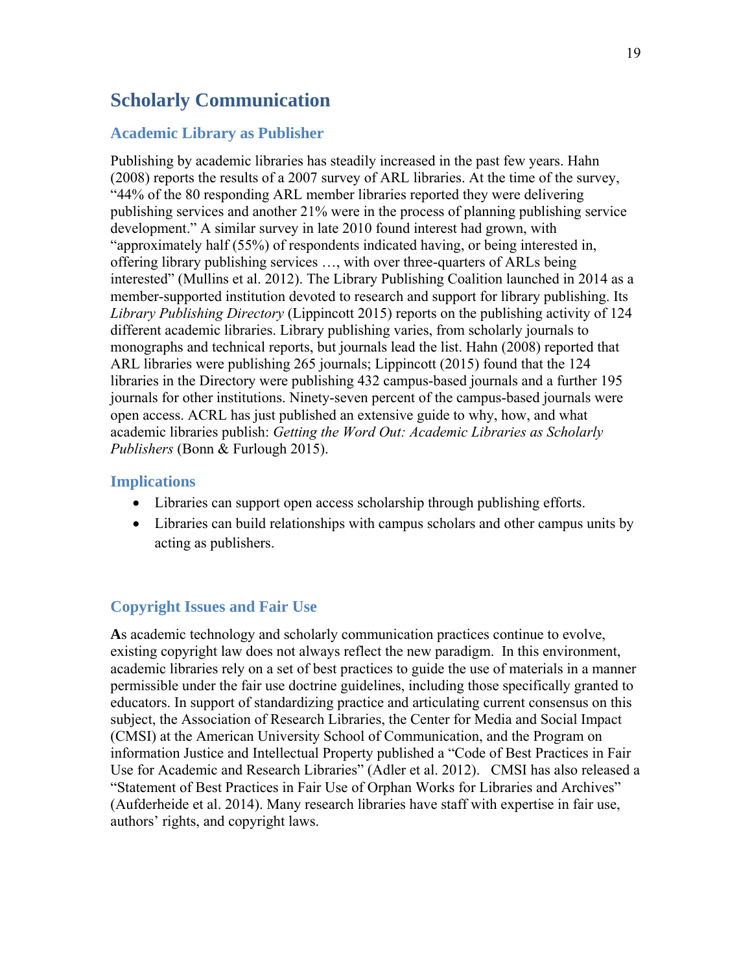# **Scholarly Communication**

#### **Academic Library as Publisher**

Publishing by academic libraries has steadily increased in the past few years. Hahn (2008) reports the results of a 2007 survey of ARL libraries. At the time of the survey, "44% of the 80 responding ARL member libraries reported they were delivering publishing services and another 21% were in the process of planning publishing service development." A similar survey in late 2010 found interest had grown, with "approximately half (55%) of respondents indicated having, or being interested in, offering library publishing services …, with over three-quarters of ARLs being interested" (Mullins et al. 2012). The Library Publishing Coalition launched in 2014 as a member-supported institution devoted to research and support for library publishing. Its *Library Publishing Directory* (Lippincott 2015) reports on the publishing activity of 124 different academic libraries. Library publishing varies, from scholarly journals to monographs and technical reports, but journals lead the list. Hahn (2008) reported that ARL libraries were publishing 265 journals; Lippincott (2015) found that the 124 libraries in the Directory were publishing 432 campus-based journals and a further 195 journals for other institutions. Ninety-seven percent of the campus-based journals were open access. ACRL has just published an extensive guide to why, how, and what academic libraries publish: *Getting the Word Out: Academic Libraries as Scholarly Publishers* (Bonn & Furlough 2015).

#### **Implications**

- Libraries can support open access scholarship through publishing efforts.
- Libraries can build relationships with campus scholars and other campus units by acting as publishers.

#### **Copyright Issues and Fair Use**

**A**s academic technology and scholarly communication practices continue to evolve, existing copyright law does not always reflect the new paradigm. In this environment, academic libraries rely on a set of best practices to guide the use of materials in a manner permissible under the fair use doctrine guidelines, including those specifically granted to educators. In support of standardizing practice and articulating current consensus on this subject, the Association of Research Libraries, the Center for Media and Social Impact (CMSI) at the American University School of Communication, and the Program on information Justice and Intellectual Property published a "Code of Best Practices in Fair Use for Academic and Research Libraries" (Adler et al. 2012). CMSI has also released a "Statement of Best Practices in Fair Use of Orphan Works for Libraries and Archives" (Aufderheide et al. 2014). Many research libraries have staff with expertise in fair use, authors' rights, and copyright laws.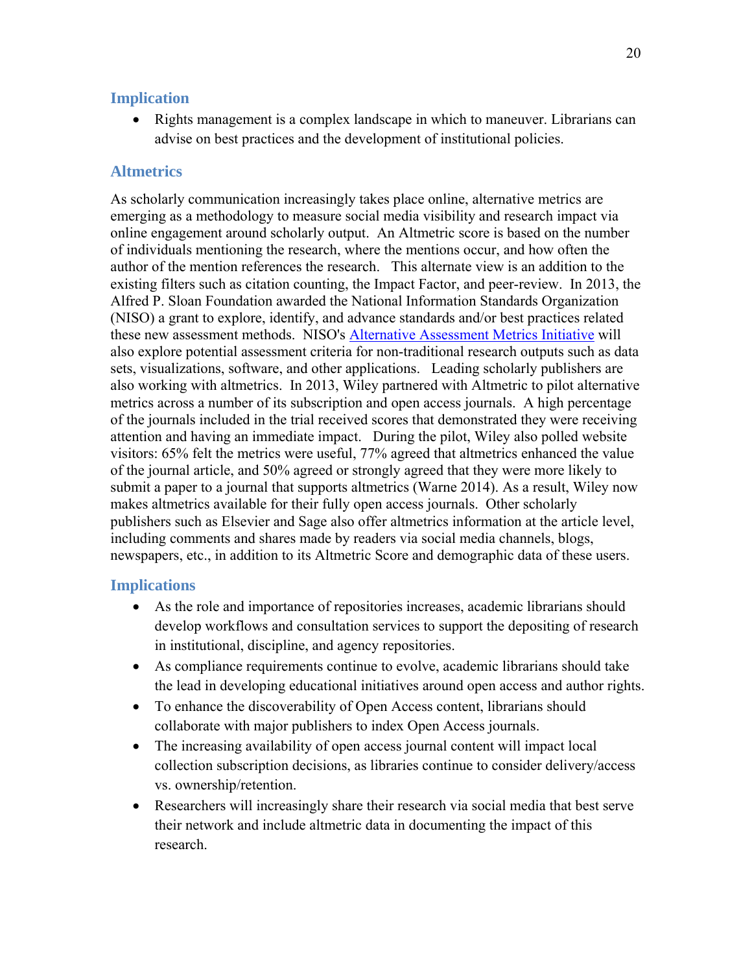#### **Implication**

 Rights management is a complex landscape in which to maneuver. Librarians can advise on best practices and the development of institutional policies.

## **Altmetrics**

As scholarly communication increasingly takes place online, alternative metrics are emerging as a methodology to measure social media visibility and research impact via online engagement around scholarly output. An Altmetric score is based on the number of individuals mentioning the research, where the mentions occur, and how often the author of the mention references the research. This alternate view is an addition to the existing filters such as citation counting, the Impact Factor, and peer-review. In 2013, the Alfred P. Sloan Foundation awarded the National Information Standards Organization (NISO) a grant to explore, identify, and advance standards and/or best practices related these new assessment methods. NISO's Alternative Assessment Metrics Initiative will also explore potential assessment criteria for non-traditional research outputs such as data sets, visualizations, software, and other applications. Leading scholarly publishers are also working with altmetrics. In 2013, Wiley partnered with Altmetric to pilot alternative metrics across a number of its subscription and open access journals. A high percentage of the journals included in the trial received scores that demonstrated they were receiving attention and having an immediate impact. During the pilot, Wiley also polled website visitors: 65% felt the metrics were useful, 77% agreed that altmetrics enhanced the value of the journal article, and 50% agreed or strongly agreed that they were more likely to submit a paper to a journal that supports altmetrics (Warne 2014). As a result, Wiley now makes altmetrics available for their fully open access journals. Other scholarly publishers such as Elsevier and Sage also offer altmetrics information at the article level, including comments and shares made by readers via social media channels, blogs, newspapers, etc., in addition to its Altmetric Score and demographic data of these users.

## **Implications**

- As the role and importance of repositories increases, academic librarians should develop workflows and consultation services to support the depositing of research in institutional, discipline, and agency repositories.
- As compliance requirements continue to evolve, academic librarians should take the lead in developing educational initiatives around open access and author rights.
- To enhance the discoverability of Open Access content, librarians should collaborate with major publishers to index Open Access journals.
- The increasing availability of open access journal content will impact local collection subscription decisions, as libraries continue to consider delivery/access vs. ownership/retention.
- Researchers will increasingly share their research via social media that best serve their network and include altmetric data in documenting the impact of this research.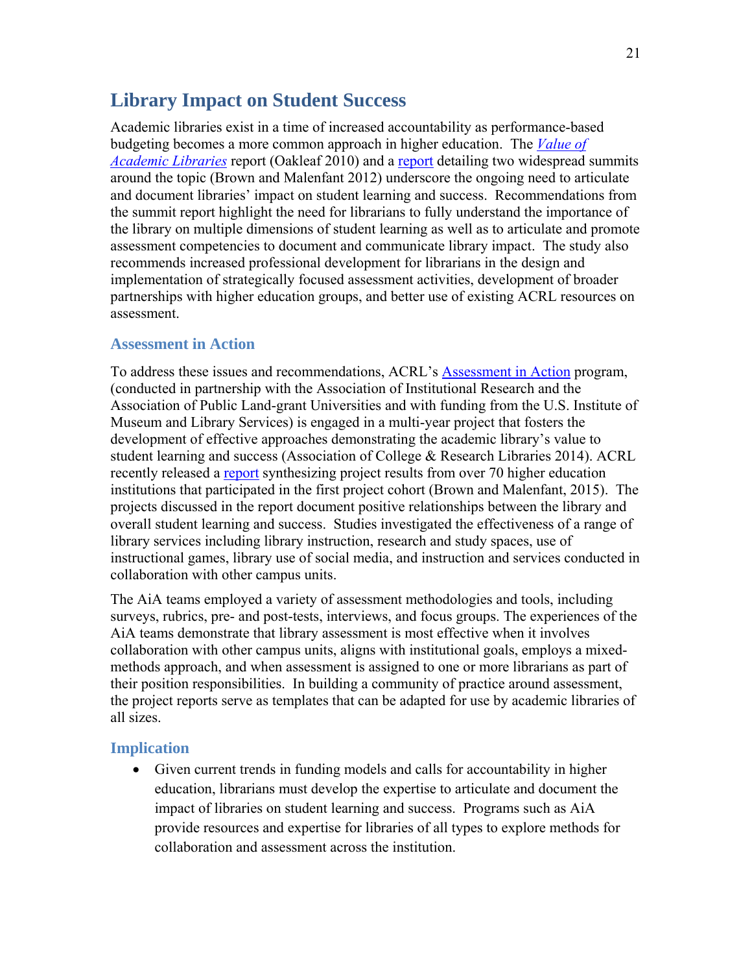# **Library Impact on Student Success**

Academic libraries exist in a time of increased accountability as performance-based budgeting becomes a more common approach in higher education. The *Value of Academic Libraries* report (Oakleaf 2010) and a report detailing two widespread summits around the topic (Brown and Malenfant 2012) underscore the ongoing need to articulate and document libraries' impact on student learning and success. Recommendations from the summit report highlight the need for librarians to fully understand the importance of the library on multiple dimensions of student learning as well as to articulate and promote assessment competencies to document and communicate library impact. The study also recommends increased professional development for librarians in the design and implementation of strategically focused assessment activities, development of broader partnerships with higher education groups, and better use of existing ACRL resources on assessment.

#### **Assessment in Action**

To address these issues and recommendations, ACRL's Assessment in Action program, (conducted in partnership with the Association of Institutional Research and the Association of Public Land-grant Universities and with funding from the U.S. Institute of Museum and Library Services) is engaged in a multi-year project that fosters the development of effective approaches demonstrating the academic library's value to student learning and success (Association of College & Research Libraries 2014). ACRL recently released a report synthesizing project results from over 70 higher education institutions that participated in the first project cohort (Brown and Malenfant, 2015). The projects discussed in the report document positive relationships between the library and overall student learning and success. Studies investigated the effectiveness of a range of library services including library instruction, research and study spaces, use of instructional games, library use of social media, and instruction and services conducted in collaboration with other campus units.

The AiA teams employed a variety of assessment methodologies and tools, including surveys, rubrics, pre- and post-tests, interviews, and focus groups. The experiences of the AiA teams demonstrate that library assessment is most effective when it involves collaboration with other campus units, aligns with institutional goals, employs a mixedmethods approach, and when assessment is assigned to one or more librarians as part of their position responsibilities. In building a community of practice around assessment, the project reports serve as templates that can be adapted for use by academic libraries of all sizes.

#### **Implication**

 Given current trends in funding models and calls for accountability in higher education, librarians must develop the expertise to articulate and document the impact of libraries on student learning and success. Programs such as AiA provide resources and expertise for libraries of all types to explore methods for collaboration and assessment across the institution.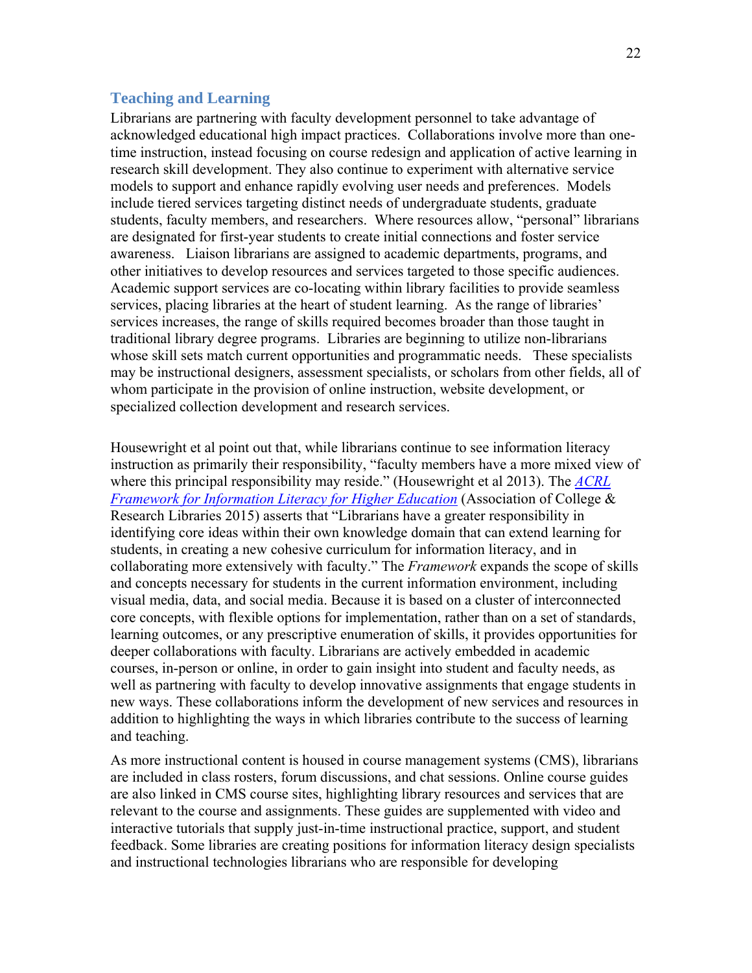#### **Teaching and Learning**

Librarians are partnering with faculty development personnel to take advantage of acknowledged educational high impact practices. Collaborations involve more than onetime instruction, instead focusing on course redesign and application of active learning in research skill development. They also continue to experiment with alternative service models to support and enhance rapidly evolving user needs and preferences. Models include tiered services targeting distinct needs of undergraduate students, graduate students, faculty members, and researchers. Where resources allow, "personal" librarians are designated for first-year students to create initial connections and foster service awareness. Liaison librarians are assigned to academic departments, programs, and other initiatives to develop resources and services targeted to those specific audiences. Academic support services are co-locating within library facilities to provide seamless services, placing libraries at the heart of student learning. As the range of libraries' services increases, the range of skills required becomes broader than those taught in traditional library degree programs. Libraries are beginning to utilize non-librarians whose skill sets match current opportunities and programmatic needs. These specialists may be instructional designers, assessment specialists, or scholars from other fields, all of whom participate in the provision of online instruction, website development, or specialized collection development and research services.

Housewright et al point out that, while librarians continue to see information literacy instruction as primarily their responsibility, "faculty members have a more mixed view of where this principal responsibility may reside." (Housewright et al 2013). The *ACRL Framework for Information Literacy for Higher Education* (Association of College & Research Libraries 2015) asserts that "Librarians have a greater responsibility in identifying core ideas within their own knowledge domain that can extend learning for students, in creating a new cohesive curriculum for information literacy, and in collaborating more extensively with faculty." The *Framework* expands the scope of skills and concepts necessary for students in the current information environment, including visual media, data, and social media. Because it is based on a cluster of interconnected core concepts, with flexible options for implementation, rather than on a set of standards, learning outcomes, or any prescriptive enumeration of skills, it provides opportunities for deeper collaborations with faculty. Librarians are actively embedded in academic courses, in-person or online, in order to gain insight into student and faculty needs, as well as partnering with faculty to develop innovative assignments that engage students in new ways. These collaborations inform the development of new services and resources in addition to highlighting the ways in which libraries contribute to the success of learning and teaching.

As more instructional content is housed in course management systems (CMS), librarians are included in class rosters, forum discussions, and chat sessions. Online course guides are also linked in CMS course sites, highlighting library resources and services that are relevant to the course and assignments. These guides are supplemented with video and interactive tutorials that supply just-in-time instructional practice, support, and student feedback. Some libraries are creating positions for information literacy design specialists and instructional technologies librarians who are responsible for developing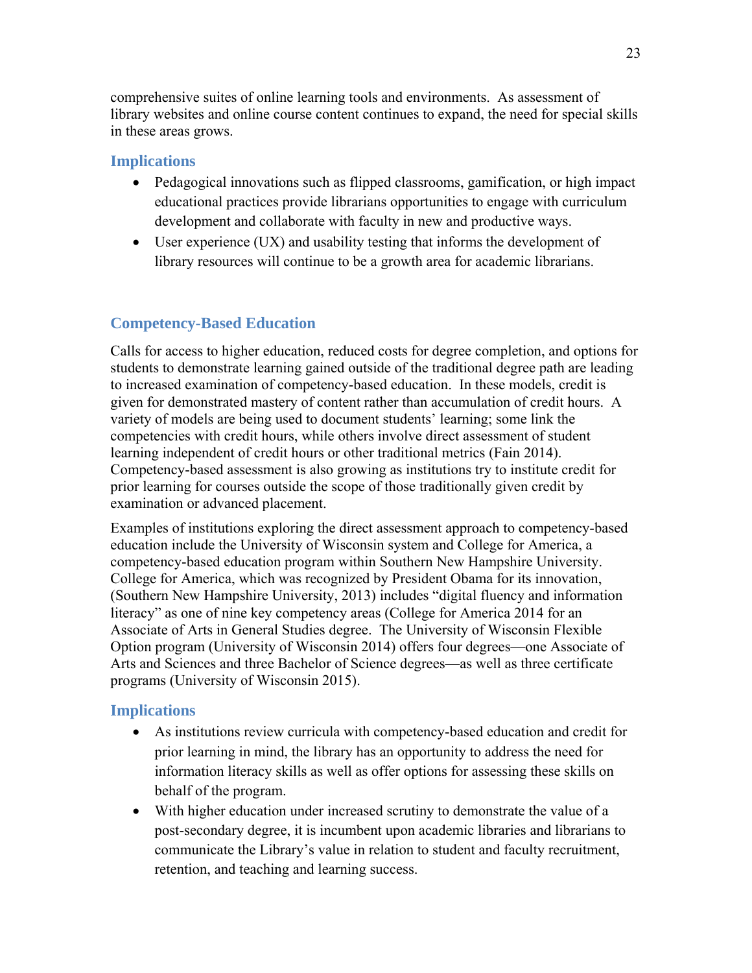comprehensive suites of online learning tools and environments. As assessment of library websites and online course content continues to expand, the need for special skills in these areas grows.

#### **Implications**

- Pedagogical innovations such as flipped classrooms, gamification, or high impact educational practices provide librarians opportunities to engage with curriculum development and collaborate with faculty in new and productive ways.
- User experience (UX) and usability testing that informs the development of library resources will continue to be a growth area for academic librarians.

## **Competency-Based Education**

Calls for access to higher education, reduced costs for degree completion, and options for students to demonstrate learning gained outside of the traditional degree path are leading to increased examination of competency-based education. In these models, credit is given for demonstrated mastery of content rather than accumulation of credit hours. A variety of models are being used to document students' learning; some link the competencies with credit hours, while others involve direct assessment of student learning independent of credit hours or other traditional metrics (Fain 2014). Competency-based assessment is also growing as institutions try to institute credit for prior learning for courses outside the scope of those traditionally given credit by examination or advanced placement.

Examples of institutions exploring the direct assessment approach to competency-based education include the University of Wisconsin system and College for America, a competency-based education program within Southern New Hampshire University. College for America, which was recognized by President Obama for its innovation, (Southern New Hampshire University, 2013) includes "digital fluency and information literacy" as one of nine key competency areas (College for America 2014 for an Associate of Arts in General Studies degree. The University of Wisconsin Flexible Option program (University of Wisconsin 2014) offers four degrees—one Associate of Arts and Sciences and three Bachelor of Science degrees—as well as three certificate programs (University of Wisconsin 2015).

## **Implications**

- As institutions review curricula with competency-based education and credit for prior learning in mind, the library has an opportunity to address the need for information literacy skills as well as offer options for assessing these skills on behalf of the program.
- With higher education under increased scrutiny to demonstrate the value of a post-secondary degree, it is incumbent upon academic libraries and librarians to communicate the Library's value in relation to student and faculty recruitment, retention, and teaching and learning success.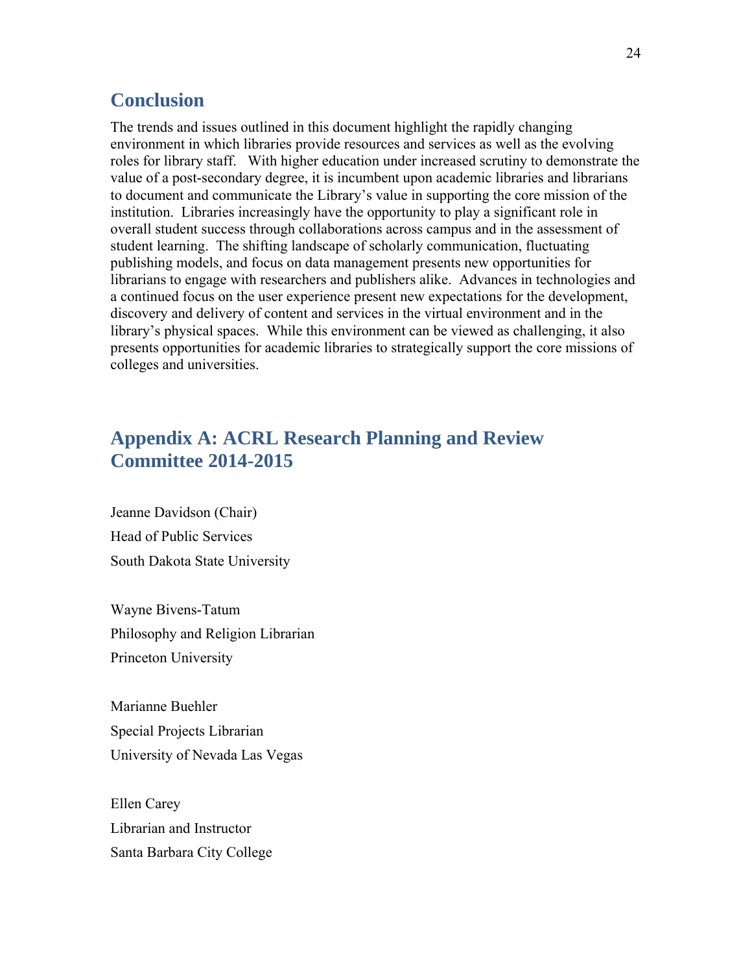## **Conclusion**

The trends and issues outlined in this document highlight the rapidly changing environment in which libraries provide resources and services as well as the evolving roles for library staff. With higher education under increased scrutiny to demonstrate the value of a post-secondary degree, it is incumbent upon academic libraries and librarians to document and communicate the Library's value in supporting the core mission of the institution. Libraries increasingly have the opportunity to play a significant role in overall student success through collaborations across campus and in the assessment of student learning. The shifting landscape of scholarly communication, fluctuating publishing models, and focus on data management presents new opportunities for librarians to engage with researchers and publishers alike. Advances in technologies and a continued focus on the user experience present new expectations for the development, discovery and delivery of content and services in the virtual environment and in the library's physical spaces. While this environment can be viewed as challenging, it also presents opportunities for academic libraries to strategically support the core missions of colleges and universities.

# **Appendix A: ACRL Research Planning and Review Committee 2014-2015**

Jeanne Davidson (Chair) Head of Public Services South Dakota State University

Wayne Bivens-Tatum Philosophy and Religion Librarian Princeton University

Marianne Buehler Special Projects Librarian University of Nevada Las Vegas

Ellen Carey Librarian and Instructor Santa Barbara City College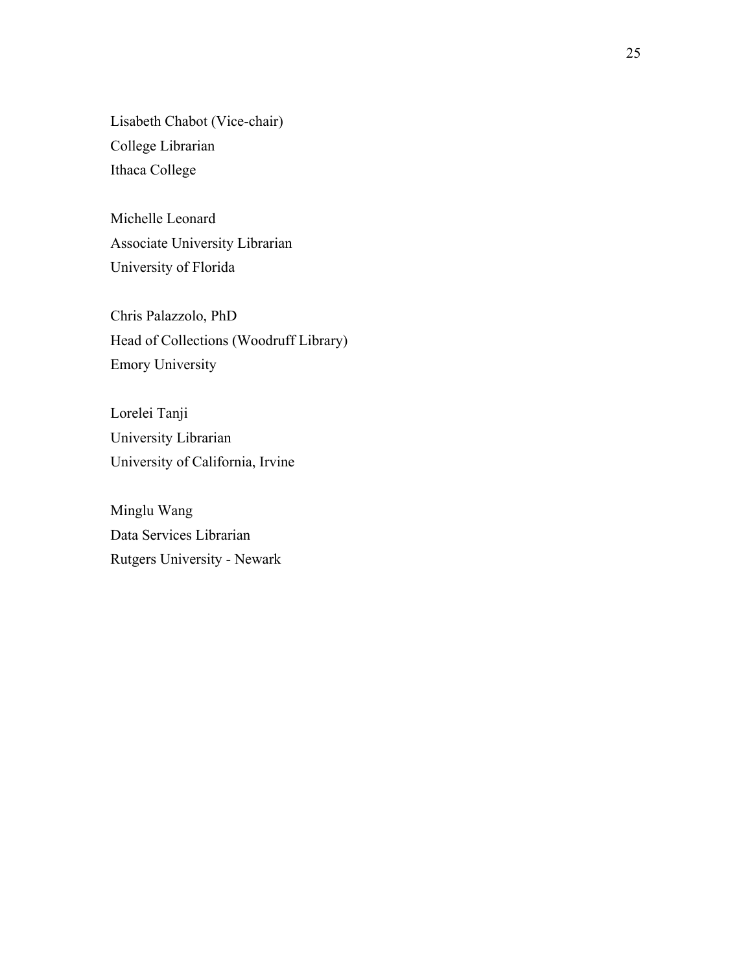Lisabeth Chabot (Vice-chair) College Librarian Ithaca College

Michelle Leonard Associate University Librarian University of Florida

Chris Palazzolo, PhD Head of Collections (Woodruff Library) Emory University

Lorelei Tanji University Librarian University of California, Irvine

Minglu Wang Data Services Librarian Rutgers University - Newark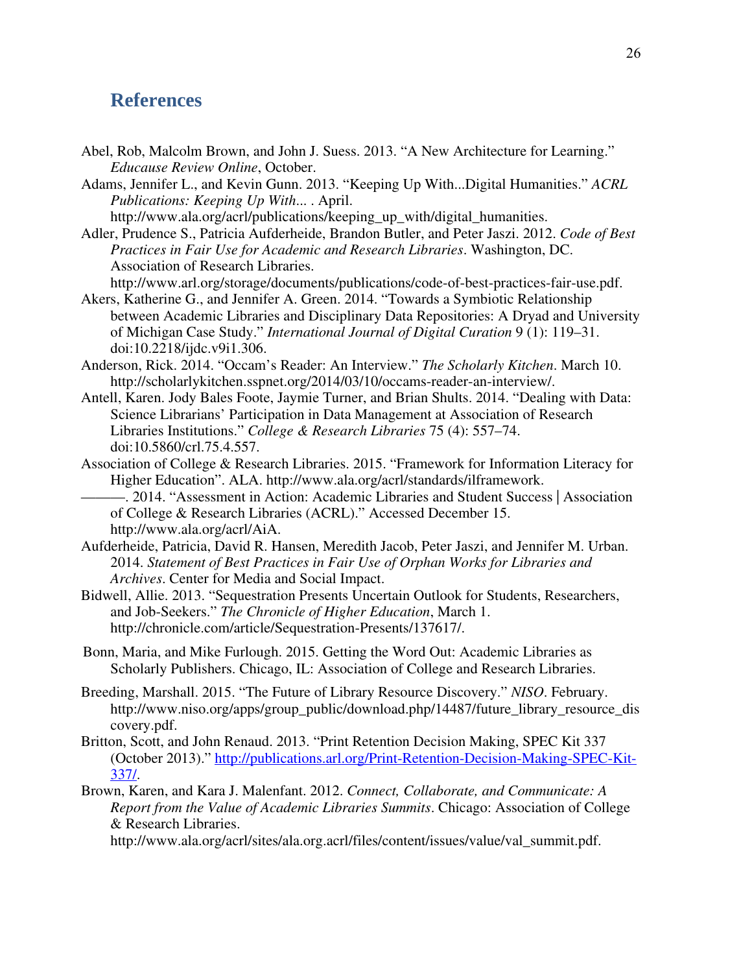## **References**

- Abel, Rob, Malcolm Brown, and John J. Suess. 2013. "A New Architecture for Learning." *Educause Review Online*, October.
- Adams, Jennifer L., and Kevin Gunn. 2013. "Keeping Up With...Digital Humanities." *ACRL Publications: Keeping Up With*... . April.

http://www.ala.org/acrl/publications/keeping\_up\_with/digital\_humanities.

Adler, Prudence S., Patricia Aufderheide, Brandon Butler, and Peter Jaszi. 2012. *Code of Best Practices in Fair Use for Academic and Research Libraries*. Washington, DC. Association of Research Libraries.

http://www.arl.org/storage/documents/publications/code-of-best-practices-fair-use.pdf. Akers, Katherine G., and Jennifer A. Green. 2014. "Towards a Symbiotic Relationship

- between Academic Libraries and Disciplinary Data Repositories: A Dryad and University of Michigan Case Study." *International Journal of Digital Curation* 9 (1): 119–31. doi:10.2218/ijdc.v9i1.306.
- Anderson, Rick. 2014. "Occam's Reader: An Interview." *The Scholarly Kitchen*. March 10. http://scholarlykitchen.sspnet.org/2014/03/10/occams-reader-an-interview/.
- Antell, Karen. Jody Bales Foote, Jaymie Turner, and Brian Shults. 2014. "Dealing with Data: Science Librarians' Participation in Data Management at Association of Research Libraries Institutions." *College & Research Libraries* 75 (4): 557–74. doi:10.5860/crl.75.4.557.
- Association of College & Research Libraries. 2015. "Framework for Information Literacy for Higher Education". ALA. http://www.ala.org/acrl/standards/ilframework.
	- ———. 2014. "Assessment in Action: Academic Libraries and Student Success | Association of College & Research Libraries (ACRL)." Accessed December 15. http://www.ala.org/acrl/AiA.
- Aufderheide, Patricia, David R. Hansen, Meredith Jacob, Peter Jaszi, and Jennifer M. Urban. 2014. *Statement of Best Practices in Fair Use of Orphan Works for Libraries and Archives*. Center for Media and Social Impact.
- Bidwell, Allie. 2013. "Sequestration Presents Uncertain Outlook for Students, Researchers, and Job-Seekers." *The Chronicle of Higher Education*, March 1. http://chronicle.com/article/Sequestration-Presents/137617/.
- Bonn, Maria, and Mike Furlough. 2015. Getting the Word Out: Academic Libraries as Scholarly Publishers. Chicago, IL: Association of College and Research Libraries.
- Breeding, Marshall. 2015. "The Future of Library Resource Discovery." *NISO*. February. http://www.niso.org/apps/group\_public/download.php/14487/future\_library\_resource\_dis covery.pdf.
- Britton, Scott, and John Renaud. 2013. "Print Retention Decision Making, SPEC Kit 337 (October 2013)." http://publications.arl.org/Print-Retention-Decision-Making-SPEC-Kit-337/.
- Brown, Karen, and Kara J. Malenfant. 2012. *Connect, Collaborate, and Communicate: A Report from the Value of Academic Libraries Summits*. Chicago: Association of College & Research Libraries.

http://www.ala.org/acrl/sites/ala.org.acrl/files/content/issues/value/val\_summit.pdf.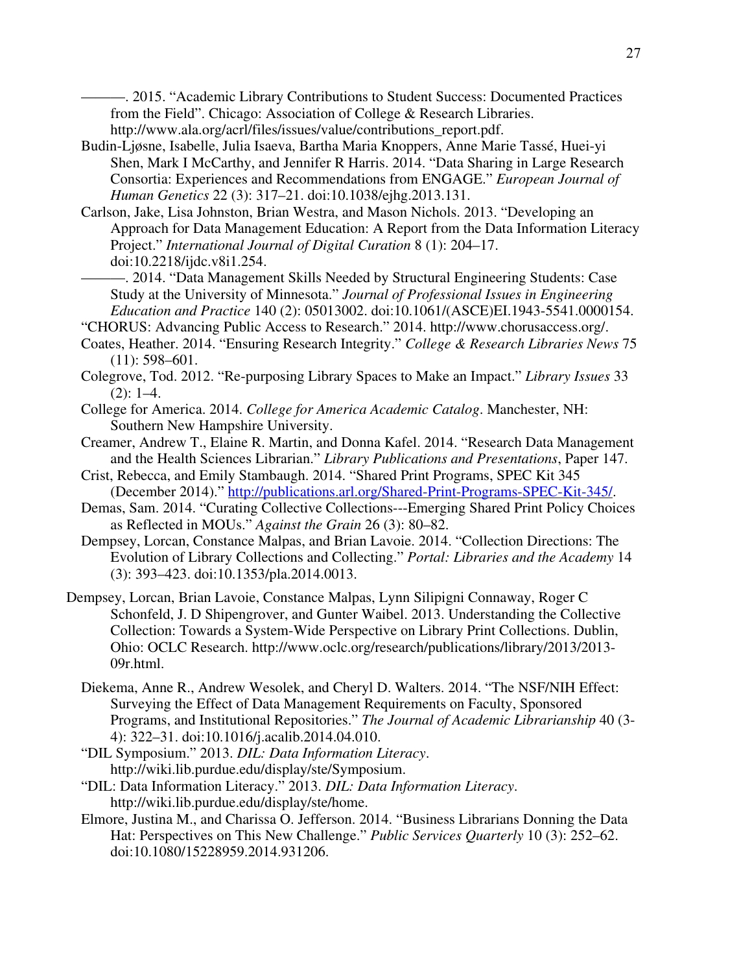———. 2015. "Academic Library Contributions to Student Success: Documented Practices from the Field". Chicago: Association of College & Research Libraries. http://www.ala.org/acrl/files/issues/value/contributions\_report.pdf.

- Budin-Ljøsne, Isabelle, Julia Isaeva, Bartha Maria Knoppers, Anne Marie Tassé, Huei-yi Shen, Mark I McCarthy, and Jennifer R Harris. 2014. "Data Sharing in Large Research Consortia: Experiences and Recommendations from ENGAGE." *European Journal of Human Genetics* 22 (3): 317–21. doi:10.1038/ejhg.2013.131.
- Carlson, Jake, Lisa Johnston, Brian Westra, and Mason Nichols. 2013. "Developing an Approach for Data Management Education: A Report from the Data Information Literacy Project." *International Journal of Digital Curation* 8 (1): 204–17. doi:10.2218/ijdc.v8i1.254.
	- ———. 2014. "Data Management Skills Needed by Structural Engineering Students: Case Study at the University of Minnesota." *Journal of Professional Issues in Engineering Education and Practice* 140 (2): 05013002. doi:10.1061/(ASCE)EI.1943-5541.0000154.
- "CHORUS: Advancing Public Access to Research." 2014. http://www.chorusaccess.org/.
- Coates, Heather. 2014. "Ensuring Research Integrity." *College & Research Libraries News* 75 (11): 598–601.
- Colegrove, Tod. 2012. "Re-purposing Library Spaces to Make an Impact." *Library Issues* 33  $(2): 1-4.$
- College for America. 2014. *College for America Academic Catalog*. Manchester, NH: Southern New Hampshire University.
- Creamer, Andrew T., Elaine R. Martin, and Donna Kafel. 2014. "Research Data Management and the Health Sciences Librarian." *Library Publications and Presentations*, Paper 147.
- Crist, Rebecca, and Emily Stambaugh. 2014. "Shared Print Programs, SPEC Kit 345 (December 2014)." http://publications.arl.org/Shared-Print-Programs-SPEC-Kit-345/.
- Demas, Sam. 2014. "Curating Collective Collections---Emerging Shared Print Policy Choices as Reflected in MOUs." *Against the Grain* 26 (3): 80–82.
- Dempsey, Lorcan, Constance Malpas, and Brian Lavoie. 2014. "Collection Directions: The Evolution of Library Collections and Collecting." *Portal: Libraries and the Academy* 14 (3): 393–423. doi:10.1353/pla.2014.0013.
- Dempsey, Lorcan, Brian Lavoie, Constance Malpas, Lynn Silipigni Connaway, Roger C Schonfeld, J. D Shipengrover, and Gunter Waibel. 2013. Understanding the Collective Collection: Towards a System-Wide Perspective on Library Print Collections. Dublin, Ohio: OCLC Research. http://www.oclc.org/research/publications/library/2013/2013- 09r.html.
	- Diekema, Anne R., Andrew Wesolek, and Cheryl D. Walters. 2014. "The NSF/NIH Effect: Surveying the Effect of Data Management Requirements on Faculty, Sponsored Programs, and Institutional Repositories." *The Journal of Academic Librarianship* 40 (3- 4): 322–31. doi:10.1016/j.acalib.2014.04.010.
	- "DIL Symposium." 2013. *DIL: Data Information Literacy*. http://wiki.lib.purdue.edu/display/ste/Symposium.
	- "DIL: Data Information Literacy." 2013. *DIL: Data Information Literacy*. http://wiki.lib.purdue.edu/display/ste/home.
	- Elmore, Justina M., and Charissa O. Jefferson. 2014. "Business Librarians Donning the Data Hat: Perspectives on This New Challenge." *Public Services Quarterly* 10 (3): 252–62. doi:10.1080/15228959.2014.931206.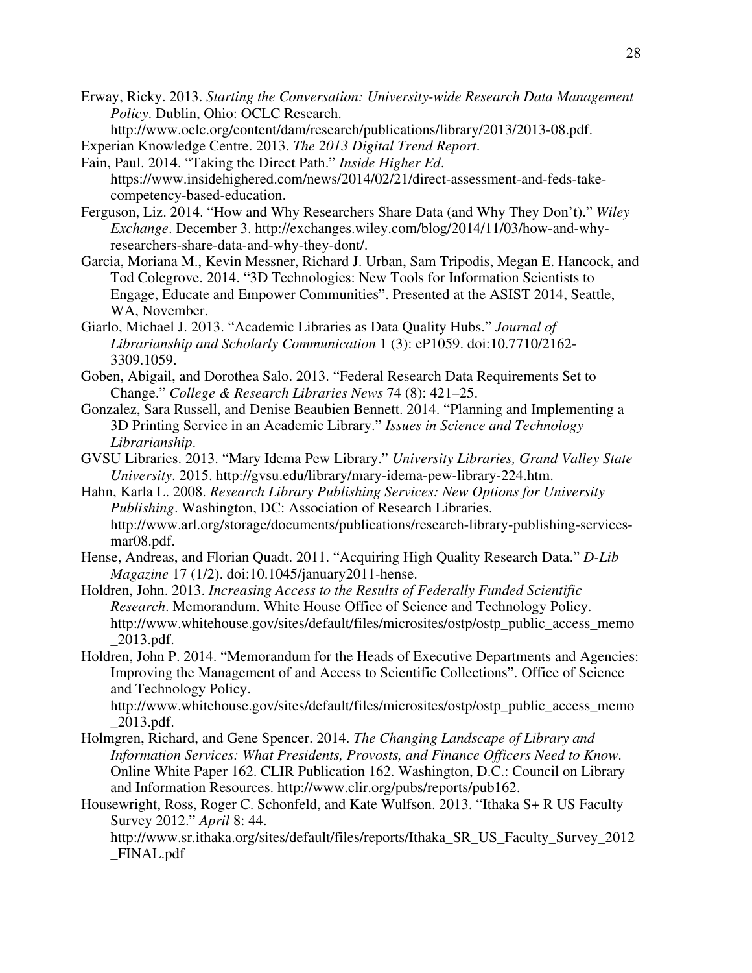Erway, Ricky. 2013. *Starting the Conversation: University-wide Research Data Management Policy*. Dublin, Ohio: OCLC Research.

http://www.oclc.org/content/dam/research/publications/library/2013/2013-08.pdf.

- Experian Knowledge Centre. 2013. *The 2013 Digital Trend Report*.
- Fain, Paul. 2014. "Taking the Direct Path." *Inside Higher Ed*. https://www.insidehighered.com/news/2014/02/21/direct-assessment-and-feds-takecompetency-based-education.
- Ferguson, Liz. 2014. "How and Why Researchers Share Data (and Why They Don't)." *Wiley Exchange*. December 3. http://exchanges.wiley.com/blog/2014/11/03/how-and-whyresearchers-share-data-and-why-they-dont/.
- Garcia, Moriana M., Kevin Messner, Richard J. Urban, Sam Tripodis, Megan E. Hancock, and Tod Colegrove. 2014. "3D Technologies: New Tools for Information Scientists to Engage, Educate and Empower Communities". Presented at the ASIST 2014, Seattle, WA, November.
- Giarlo, Michael J. 2013. "Academic Libraries as Data Quality Hubs." *Journal of Librarianship and Scholarly Communication* 1 (3): eP1059. doi:10.7710/2162- 3309.1059.
- Goben, Abigail, and Dorothea Salo. 2013. "Federal Research Data Requirements Set to Change." *College & Research Libraries News* 74 (8): 421–25.
- Gonzalez, Sara Russell, and Denise Beaubien Bennett. 2014. "Planning and Implementing a 3D Printing Service in an Academic Library." *Issues in Science and Technology Librarianship*.
- GVSU Libraries. 2013. "Mary Idema Pew Library." *University Libraries, Grand Valley State University*. 2015. http://gvsu.edu/library/mary-idema-pew-library-224.htm.
- Hahn, Karla L. 2008. *Research Library Publishing Services: New Options for University Publishing*. Washington, DC: Association of Research Libraries. http://www.arl.org/storage/documents/publications/research-library-publishing-servicesmar08.pdf.
- Hense, Andreas, and Florian Quadt. 2011. "Acquiring High Quality Research Data." *D-Lib Magazine* 17 (1/2). doi:10.1045/january2011-hense.
- Holdren, John. 2013. *Increasing Access to the Results of Federally Funded Scientific Research*. Memorandum. White House Office of Science and Technology Policy. http://www.whitehouse.gov/sites/default/files/microsites/ostp/ostp\_public\_access\_memo  $\angle$ 2013.pdf.
- Holdren, John P. 2014. "Memorandum for the Heads of Executive Departments and Agencies: Improving the Management of and Access to Scientific Collections". Office of Science and Technology Policy.

http://www.whitehouse.gov/sites/default/files/microsites/ostp/ostp\_public\_access\_memo \_2013.pdf.

- Holmgren, Richard, and Gene Spencer. 2014. *The Changing Landscape of Library and Information Services: What Presidents, Provosts, and Finance Officers Need to Know*. Online White Paper 162. CLIR Publication 162. Washington, D.C.: Council on Library and Information Resources. http://www.clir.org/pubs/reports/pub162.
- Housewright, Ross, Roger C. Schonfeld, and Kate Wulfson. 2013. "Ithaka S+ R US Faculty Survey 2012." *April* 8: 44.

http://www.sr.ithaka.org/sites/default/files/reports/Ithaka\_SR\_US\_Faculty\_Survey\_2012 \_FINAL.pdf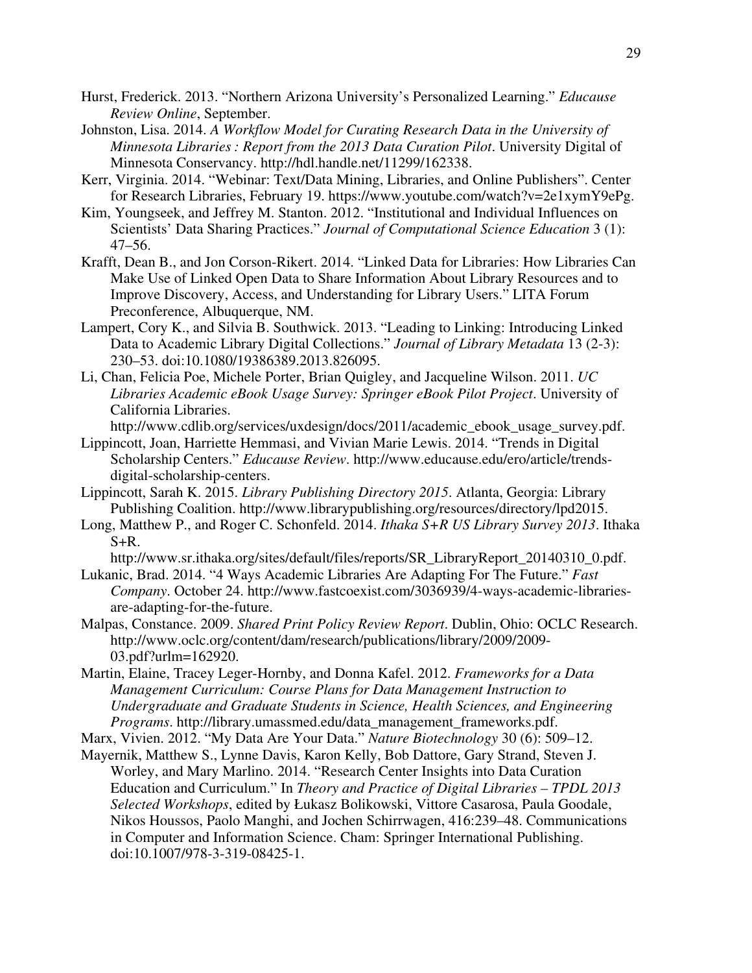- Hurst, Frederick. 2013. "Northern Arizona University's Personalized Learning." *Educause Review Online*, September.
- Johnston, Lisa. 2014. *A Workflow Model for Curating Research Data in the University of Minnesota Libraries : Report from the 2013 Data Curation Pilot*. University Digital of Minnesota Conservancy. http://hdl.handle.net/11299/162338.
- Kerr, Virginia. 2014. "Webinar: Text/Data Mining, Libraries, and Online Publishers". Center for Research Libraries, February 19. https://www.youtube.com/watch?v=2e1xymY9ePg.
- Kim, Youngseek, and Jeffrey M. Stanton. 2012. "Institutional and Individual Influences on Scientists' Data Sharing Practices." *Journal of Computational Science Education* 3 (1): 47–56.
- Krafft, Dean B., and Jon Corson-Rikert. 2014. "Linked Data for Libraries: How Libraries Can Make Use of Linked Open Data to Share Information About Library Resources and to Improve Discovery, Access, and Understanding for Library Users." LITA Forum Preconference, Albuquerque, NM.
- Lampert, Cory K., and Silvia B. Southwick. 2013. "Leading to Linking: Introducing Linked Data to Academic Library Digital Collections." *Journal of Library Metadata* 13 (2-3): 230–53. doi:10.1080/19386389.2013.826095.
- Li, Chan, Felicia Poe, Michele Porter, Brian Quigley, and Jacqueline Wilson. 2011. *UC Libraries Academic eBook Usage Survey: Springer eBook Pilot Project*. University of California Libraries.

http://www.cdlib.org/services/uxdesign/docs/2011/academic\_ebook\_usage\_survey.pdf.

- Lippincott, Joan, Harriette Hemmasi, and Vivian Marie Lewis. 2014. "Trends in Digital Scholarship Centers." *Educause Review*. http://www.educause.edu/ero/article/trendsdigital-scholarship-centers.
- Lippincott, Sarah K. 2015. *Library Publishing Directory 2015*. Atlanta, Georgia: Library Publishing Coalition. http://www.librarypublishing.org/resources/directory/lpd2015.
- Long, Matthew P., and Roger C. Schonfeld. 2014. *Ithaka S+R US Library Survey 2013*. Ithaka  $S+R$ .

http://www.sr.ithaka.org/sites/default/files/reports/SR\_LibraryReport\_20140310\_0.pdf.

- Lukanic, Brad. 2014. "4 Ways Academic Libraries Are Adapting For The Future." *Fast Company*. October 24. http://www.fastcoexist.com/3036939/4-ways-academic-librariesare-adapting-for-the-future.
- Malpas, Constance. 2009. *Shared Print Policy Review Report*. Dublin, Ohio: OCLC Research. http://www.oclc.org/content/dam/research/publications/library/2009/2009- 03.pdf?urlm=162920.
- Martin, Elaine, Tracey Leger-Hornby, and Donna Kafel. 2012. *Frameworks for a Data Management Curriculum: Course Plans for Data Management Instruction to Undergraduate and Graduate Students in Science, Health Sciences, and Engineering Programs*. http://library.umassmed.edu/data\_management\_frameworks.pdf.

Marx, Vivien. 2012. "My Data Are Your Data." *Nature Biotechnology* 30 (6): 509–12.

Mayernik, Matthew S., Lynne Davis, Karon Kelly, Bob Dattore, Gary Strand, Steven J. Worley, and Mary Marlino. 2014. "Research Center Insights into Data Curation Education and Curriculum." In *Theory and Practice of Digital Libraries – TPDL 2013 Selected Workshops*, edited by Łukasz Bolikowski, Vittore Casarosa, Paula Goodale, Nikos Houssos, Paolo Manghi, and Jochen Schirrwagen, 416:239–48. Communications in Computer and Information Science. Cham: Springer International Publishing. doi:10.1007/978-3-319-08425-1.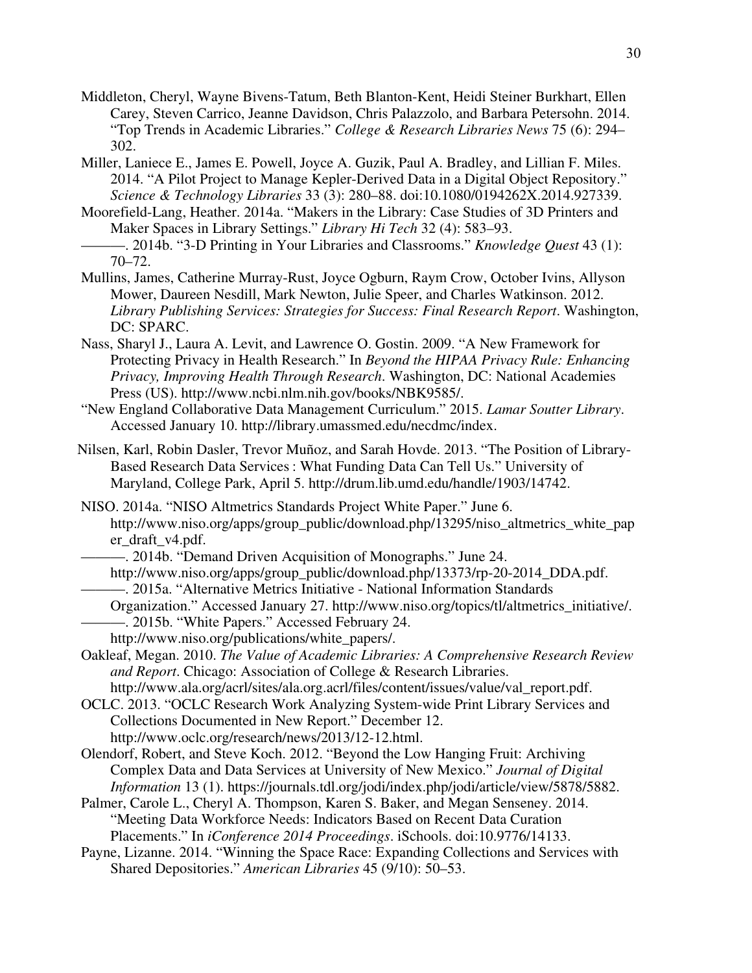- Middleton, Cheryl, Wayne Bivens-Tatum, Beth Blanton-Kent, Heidi Steiner Burkhart, Ellen Carey, Steven Carrico, Jeanne Davidson, Chris Palazzolo, and Barbara Petersohn. 2014. "Top Trends in Academic Libraries." *College & Research Libraries News* 75 (6): 294– 302.
- Miller, Laniece E., James E. Powell, Joyce A. Guzik, Paul A. Bradley, and Lillian F. Miles. 2014. "A Pilot Project to Manage Kepler-Derived Data in a Digital Object Repository." *Science & Technology Libraries* 33 (3): 280–88. doi:10.1080/0194262X.2014.927339.
- Moorefield-Lang, Heather. 2014a. "Makers in the Library: Case Studies of 3D Printers and Maker Spaces in Library Settings." *Library Hi Tech* 32 (4): 583–93.
- ———. 2014b. "3-D Printing in Your Libraries and Classrooms." *Knowledge Quest* 43 (1): 70–72.
- Mullins, James, Catherine Murray-Rust, Joyce Ogburn, Raym Crow, October Ivins, Allyson Mower, Daureen Nesdill, Mark Newton, Julie Speer, and Charles Watkinson. 2012. *Library Publishing Services: Strategies for Success: Final Research Report*. Washington, DC: SPARC.
- Nass, Sharyl J., Laura A. Levit, and Lawrence O. Gostin. 2009. "A New Framework for Protecting Privacy in Health Research." In *Beyond the HIPAA Privacy Rule: Enhancing Privacy, Improving Health Through Research*. Washington, DC: National Academies Press (US). http://www.ncbi.nlm.nih.gov/books/NBK9585/.
- "New England Collaborative Data Management Curriculum." 2015. *Lamar Soutter Library*. Accessed January 10. http://library.umassmed.edu/necdmc/index.
- Nilsen, Karl, Robin Dasler, Trevor Muñoz, and Sarah Hovde. 2013. "The Position of Library-Based Research Data Services : What Funding Data Can Tell Us." University of Maryland, College Park, April 5. http://drum.lib.umd.edu/handle/1903/14742.
- NISO. 2014a. "NISO Altmetrics Standards Project White Paper." June 6. http://www.niso.org/apps/group\_public/download.php/13295/niso\_altmetrics\_white\_pap er\_draft\_v4.pdf.
	- ———. 2014b. "Demand Driven Acquisition of Monographs." June 24.
	- http://www.niso.org/apps/group\_public/download.php/13373/rp-20-2014\_DDA.pdf.
	- ———. 2015a. "Alternative Metrics Initiative National Information Standards
- Organization." Accessed January 27. http://www.niso.org/topics/tl/altmetrics\_initiative/. ———. 2015b. "White Papers." Accessed February 24.
	- http://www.niso.org/publications/white\_papers/.
- Oakleaf, Megan. 2010. *The Value of Academic Libraries: A Comprehensive Research Review and Report*. Chicago: Association of College & Research Libraries.
- http://www.ala.org/acrl/sites/ala.org.acrl/files/content/issues/value/val\_report.pdf. OCLC. 2013. "OCLC Research Work Analyzing System-wide Print Library Services and Collections Documented in New Report." December 12. http://www.oclc.org/research/news/2013/12-12.html.
- Olendorf, Robert, and Steve Koch. 2012. "Beyond the Low Hanging Fruit: Archiving Complex Data and Data Services at University of New Mexico." *Journal of Digital Information* 13 (1). https://journals.tdl.org/jodi/index.php/jodi/article/view/5878/5882.
- Palmer, Carole L., Cheryl A. Thompson, Karen S. Baker, and Megan Senseney. 2014. "Meeting Data Workforce Needs: Indicators Based on Recent Data Curation Placements." In *iConference 2014 Proceedings*. iSchools. doi:10.9776/14133.
- Payne, Lizanne. 2014. "Winning the Space Race: Expanding Collections and Services with Shared Depositories." *American Libraries* 45 (9/10): 50–53.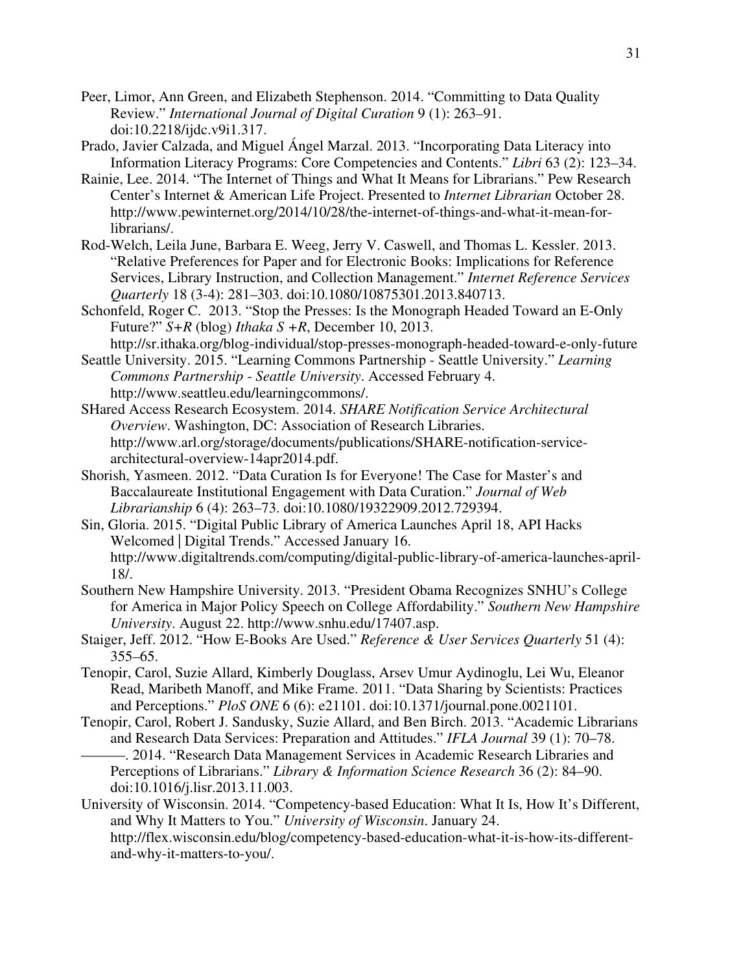- Peer, Limor, Ann Green, and Elizabeth Stephenson. 2014. "Committing to Data Quality Review." *International Journal of Digital Curation* 9 (1): 263–91. doi:10.2218/ijdc.v9i1.317.
- Prado, Javier Calzada, and Miguel Ángel Marzal. 2013. "Incorporating Data Literacy into Information Literacy Programs: Core Competencies and Contents." *Libri* 63 (2): 123–34.
- Rainie, Lee. 2014. "The Internet of Things and What It Means for Librarians." Pew Research Center's Internet & American Life Project. Presented to *Internet Librarian* October 28. http://www.pewinternet.org/2014/10/28/the-internet-of-things-and-what-it-mean-forlibrarians/.
- Rod-Welch, Leila June, Barbara E. Weeg, Jerry V. Caswell, and Thomas L. Kessler. 2013. "Relative Preferences for Paper and for Electronic Books: Implications for Reference Services, Library Instruction, and Collection Management." *Internet Reference Services Quarterly* 18 (3-4): 281–303. doi:10.1080/10875301.2013.840713.
- Schonfeld, Roger C. 2013. "Stop the Presses: Is the Monograph Headed Toward an E-Only Future?" *S+R* (blog) *Ithaka S +R*, December 10, 2013.
- http://sr.ithaka.org/blog-individual/stop-presses-monograph-headed-toward-e-only-future Seattle University. 2015. "Learning Commons Partnership - Seattle University." *Learning*
- *Commons Partnership Seattle University*. Accessed February 4. http://www.seattleu.edu/learningcommons/.
- SHared Access Research Ecosystem. 2014. *SHARE Notification Service Architectural Overview*. Washington, DC: Association of Research Libraries. http://www.arl.org/storage/documents/publications/SHARE-notification-servicearchitectural-overview-14apr2014.pdf.
- Shorish, Yasmeen. 2012. "Data Curation Is for Everyone! The Case for Master's and Baccalaureate Institutional Engagement with Data Curation." *Journal of Web Librarianship* 6 (4): 263–73. doi:10.1080/19322909.2012.729394.
- Sin, Gloria. 2015. "Digital Public Library of America Launches April 18, API Hacks Welcomed | Digital Trends." Accessed January 16. http://www.digitaltrends.com/computing/digital-public-library-of-america-launches-april-18/.
- Southern New Hampshire University. 2013. "President Obama Recognizes SNHU's College for America in Major Policy Speech on College Affordability." *Southern New Hampshire University*. August 22. http://www.snhu.edu/17407.asp.
- Staiger, Jeff. 2012. "How E-Books Are Used." *Reference & User Services Quarterly* 51 (4): 355–65.
- Tenopir, Carol, Suzie Allard, Kimberly Douglass, Arsev Umur Aydinoglu, Lei Wu, Eleanor Read, Maribeth Manoff, and Mike Frame. 2011. "Data Sharing by Scientists: Practices and Perceptions." *PloS ONE* 6 (6): e21101. doi:10.1371/journal.pone.0021101.
- Tenopir, Carol, Robert J. Sandusky, Suzie Allard, and Ben Birch. 2013. "Academic Librarians and Research Data Services: Preparation and Attitudes." *IFLA Journal* 39 (1): 70–78. ———. 2014. "Research Data Management Services in Academic Research Libraries and Perceptions of Librarians." *Library & Information Science Research* 36 (2): 84–90. doi:10.1016/j.lisr.2013.11.003.
- University of Wisconsin. 2014. "Competency-based Education: What It Is, How It's Different, and Why It Matters to You." *University of Wisconsin*. January 24. http://flex.wisconsin.edu/blog/competency-based-education-what-it-is-how-its-differentand-why-it-matters-to-you/.